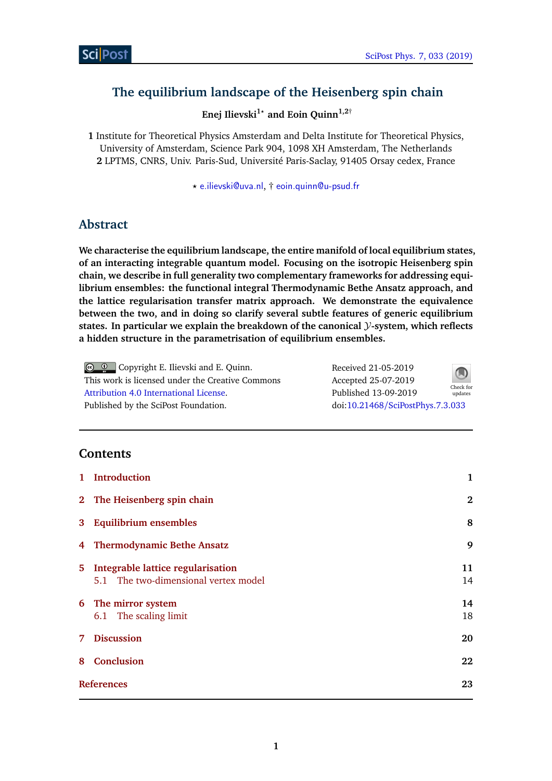# **The equilibrium landscape of the Heisenberg spin chain**

**Enej Ilievski1***?* **and Eoin Quinn1,2**†

**1** Institute for Theoretical Physics Amsterdam and Delta Institute for Theoretical Physics, University of Amsterdam, Science Park 904, 1098 XH Amsterdam, The Netherlands **2** LPTMS, CNRS, Univ. Paris-Sud, Université Paris-Saclay, 91405 Orsay cedex, France

*?* [e.ilievski@uva.nl](mailto:e.ilievski@uva.nl), † [eoin.quinn@u-psud.fr](mailto:eoin.quinn@u-psud.fr)

# **Abstract**

**We characterise the equilibrium landscape, the entire manifold of local equilibrium states, of an interacting integrable quantum model. Focusing on the isotropic Heisenberg spin chain, we describe in full generality two complementary frameworks for addressing equilibrium ensembles: the functional integral Thermodynamic Bethe Ansatz approach, and the lattice regularisation transfer matrix approach. We demonstrate the equivalence between the two, and in doing so clarify several subtle features of generic equilibrium states. In particular we explain the breakdown of the canonical** Y**-system, which reflects a hidden structure in the parametrisation of equilibrium ensembles.**

**C Q Copyright E. Ilievski and E. Quinn.** This work is licensed under the Creative Commons [Attribution 4.0 International License.](http://creativecommons.org/licenses/by/4.0/) Published by the SciPost Foundation. Received 21-05-2019 Accepted 25-07-2019 Published 13-09-2019 Check for updates doi:10.21468/[SciPostPhys.7.3.033](http://dx.doi.org/10.21468/SciPostPhys.7.3.033)

## **Contents**

|   | 1 Introduction                                                              | 1        |
|---|-----------------------------------------------------------------------------|----------|
|   | 2 The Heisenberg spin chain                                                 | $\bf{2}$ |
|   | 3 Equilibrium ensembles                                                     | 8        |
|   | 4 Thermodynamic Bethe Ansatz                                                | 9        |
|   | 5 Integrable lattice regularisation<br>5.1 The two-dimensional vertex model | 11<br>14 |
|   | 6 The mirror system<br>6.1 The scaling limit                                | 14<br>18 |
| 7 | <b>Discussion</b>                                                           | 20       |
| 8 | <b>Conclusion</b>                                                           | 22       |
|   | <b>References</b>                                                           |          |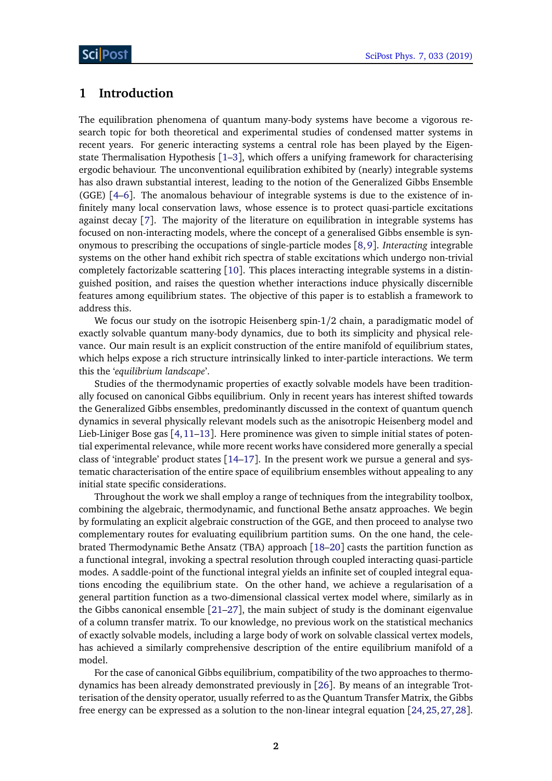### <span id="page-1-0"></span>**1 Introduction**

The equilibration phenomena of quantum many-body systems have become a vigorous research topic for both theoretical and experimental studies of condensed matter systems in recent years. For generic interacting systems a central role has been played by the Eigenstate Thermalisation Hypothesis [[1–](#page-22-0)[3](#page-22-1)], which offers a unifying framework for characterising ergodic behaviour. The unconventional equilibration exhibited by (nearly) integrable systems has also drawn substantial interest, leading to the notion of the Generalized Gibbs Ensemble (GGE) [[4](#page-23-0)[–6](#page-23-1)]. The anomalous behaviour of integrable systems is due to the existence of infinitely many local conservation laws, whose essence is to protect quasi-particle excitations against decay [[7](#page-23-2)]. The majority of the literature on equilibration in integrable systems has focused on non-interacting models, where the concept of a generalised Gibbs ensemble is synonymous to prescribing the occupations of single-particle modes [[8,](#page-23-3)[9](#page-23-4)]. *Interacting* integrable systems on the other hand exhibit rich spectra of stable excitations which undergo non-trivial completely factorizable scattering [[10](#page-23-5)]. This places interacting integrable systems in a distinguished position, and raises the question whether interactions induce physically discernible features among equilibrium states. The objective of this paper is to establish a framework to address this.

We focus our study on the isotropic Heisenberg spin-1*/*2 chain, a paradigmatic model of exactly solvable quantum many-body dynamics, due to both its simplicity and physical relevance. Our main result is an explicit construction of the entire manifold of equilibrium states, which helps expose a rich structure intrinsically linked to inter-particle interactions. We term this the '*equilibrium landscape*'.

Studies of the thermodynamic properties of exactly solvable models have been traditionally focused on canonical Gibbs equilibrium. Only in recent years has interest shifted towards the Generalized Gibbs ensembles, predominantly discussed in the context of quantum quench dynamics in several physically relevant models such as the anisotropic Heisenberg model and Lieb-Liniger Bose gas  $\lceil 4, 11-13 \rceil$  $\lceil 4, 11-13 \rceil$  $\lceil 4, 11-13 \rceil$  $\lceil 4, 11-13 \rceil$  $\lceil 4, 11-13 \rceil$ . Here prominence was given to simple initial states of potential experimental relevance, while more recent works have considered more generally a special class of 'integrable' product states  $\lceil 14-17 \rceil$  $\lceil 14-17 \rceil$  $\lceil 14-17 \rceil$ . In the present work we pursue a general and systematic characterisation of the entire space of equilibrium ensembles without appealing to any initial state specific considerations.

Throughout the work we shall employ a range of techniques from the integrability toolbox, combining the algebraic, thermodynamic, and functional Bethe ansatz approaches. We begin by formulating an explicit algebraic construction of the GGE, and then proceed to analyse two complementary routes for evaluating equilibrium partition sums. On the one hand, the celebrated Thermodynamic Bethe Ansatz (TBA) approach [[18–](#page-23-10)[20](#page-24-0)] casts the partition function as a functional integral, invoking a spectral resolution through coupled interacting quasi-particle modes. A saddle-point of the functional integral yields an infinite set of coupled integral equations encoding the equilibrium state. On the other hand, we achieve a regularisation of a general partition function as a two-dimensional classical vertex model where, similarly as in the Gibbs canonical ensemble [[21](#page-24-1)[–27](#page-24-2)], the main subject of study is the dominant eigenvalue of a column transfer matrix. To our knowledge, no previous work on the statistical mechanics of exactly solvable models, including a large body of work on solvable classical vertex models, has achieved a similarly comprehensive description of the entire equilibrium manifold of a model.

For the case of canonical Gibbs equilibrium, compatibility of the two approaches to thermodynamics has been already demonstrated previously in [[26](#page-24-3)]. By means of an integrable Trotterisation of the density operator, usually referred to as the Quantum Transfer Matrix, the Gibbs free energy can be expressed as a solution to the non-linear integral equation [[24,](#page-24-4)[25,](#page-24-5)[27,](#page-24-2)[28](#page-24-6)].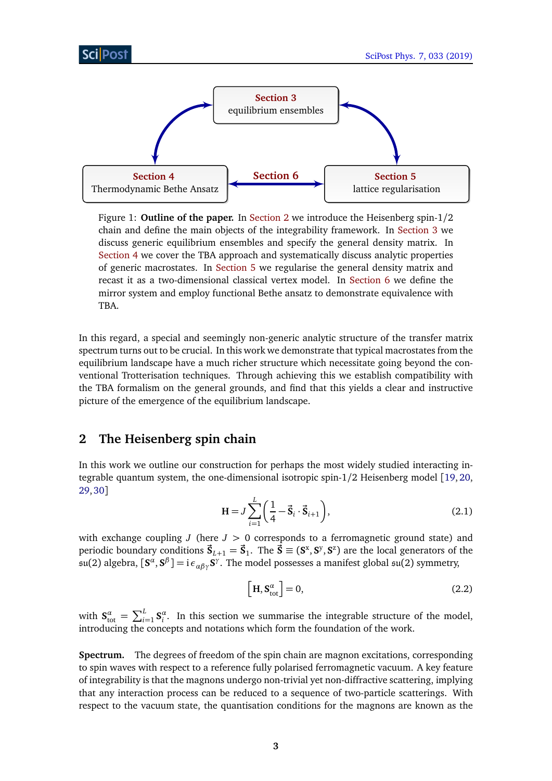<span id="page-2-2"></span>

Figure 1: **Outline of the paper.** In [Section 2](#page-2-0) we introduce the Heisenberg spin-1*/*2 chain and define the main objects of the integrability framework. In [Section 3](#page-7-0) we discuss generic equilibrium ensembles and specify the general density matrix. In [Section 4](#page-8-0) we cover the TBA approach and systematically discuss analytic properties of generic macrostates. In [Section 5](#page-10-0) we regularise the general density matrix and recast it as a two-dimensional classical vertex model. In [Section 6](#page-14-0) we define the mirror system and employ functional Bethe ansatz to demonstrate equivalence with TBA.

In this regard, a special and seemingly non-generic analytic structure of the transfer matrix spectrum turns out to be crucial. In this work we demonstrate that typical macrostates from the equilibrium landscape have a much richer structure which necessitate going beyond the conventional Trotterisation techniques. Through achieving this we establish compatibility with the TBA formalism on the general grounds, and find that this yields a clear and instructive picture of the emergence of the equilibrium landscape.

## <span id="page-2-0"></span>**2 The Heisenberg spin chain**

<span id="page-2-1"></span>In this work we outline our construction for perhaps the most widely studied interacting integrable quantum system, the one-dimensional isotropic spin-1*/*2 Heisenberg model [[19,](#page-24-7) [20,](#page-24-0) [29,](#page-24-8)[30](#page-24-9)]

$$
H = J \sum_{i=1}^{L} \left( \frac{1}{4} - \vec{S}_i \cdot \vec{S}_{i+1} \right),
$$
 (2.1)

with exchange coupling  $J$  (here  $J > 0$  corresponds to a ferromagnetic ground state) and periodic boundary conditions  $\vec{S}_{L+1} = \vec{S}_1$ . The  $\vec{S} \equiv (S^x, S^y, S^z)$  are the local generators of the  $\mathfrak{su}(2)$  algebra,  $[\mathbf{S}^\alpha,\mathbf{S}^\beta]=\mathrm{i}\,\epsilon_{\alpha\beta\gamma}\mathbf{S}^\gamma.$  The model possesses a manifest global  $\mathfrak{su}(2)$  symmetry,

$$
\left[\mathbf{H}, \mathbf{S}_{\text{tot}}^{\alpha}\right] = 0,\tag{2.2}
$$

with  $S_{\text{tot}}^{\alpha} = \sum_{i=1}^{L} S_i^{\alpha}$ . In this section we summarise the integrable structure of the model, introducing the concepts and notations which form the foundation of the work.

**Spectrum.** The degrees of freedom of the spin chain are magnon excitations, corresponding to spin waves with respect to a reference fully polarised ferromagnetic vacuum. A key feature of integrability is that the magnons undergo non-trivial yet non-diffractive scattering, implying that any interaction process can be reduced to a sequence of two-particle scatterings. With respect to the vacuum state, the quantisation conditions for the magnons are known as the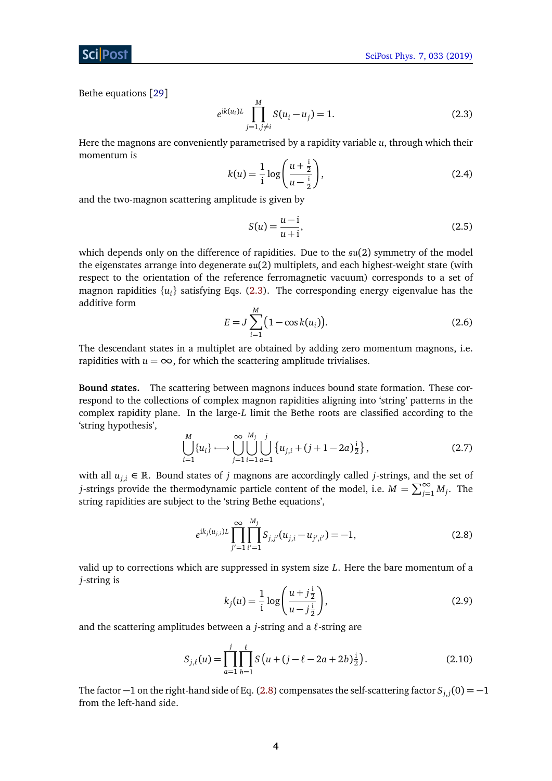Bethe equations [[29](#page-24-8)]

<span id="page-3-0"></span>
$$
e^{ik(u_i)L} \prod_{j=1, j\neq i}^{M} S(u_i - u_j) = 1.
$$
 (2.3)

Here the magnons are conveniently parametrised by a rapidity variable *u*, through which their momentum is

$$
k(u) = \frac{1}{i} \log \left( \frac{u + \frac{i}{2}}{u - \frac{i}{2}} \right),
$$
 (2.4)

and the two-magnon scattering amplitude is given by

$$
S(u) = \frac{u - i}{u + i},
$$
\n(2.5)

which depends only on the difference of rapidities. Due to the  $\mathfrak{su}(2)$  symmetry of the model the eigenstates arrange into degenerate su(2) multiplets, and each highest-weight state (with respect to the orientation of the reference ferromagnetic vacuum) corresponds to a set of magnon rapidities {*u<sup>i</sup>* } satisfying Eqs. [\(2.3\)](#page-3-0). The corresponding energy eigenvalue has the additive form

$$
E = J \sum_{i=1}^{M} (1 - \cos k(u_i)).
$$
 (2.6)

The descendant states in a multiplet are obtained by adding zero momentum magnons, i.e. rapidities with  $u = \infty$ , for which the scattering amplitude trivialises.

**Bound states.** The scattering between magnons induces bound state formation. These correspond to the collections of complex magnon rapidities aligning into 'string' patterns in the complex rapidity plane. In the large-*L* limit the Bethe roots are classified according to the 'string hypothesis',

<span id="page-3-2"></span>
$$
\bigcup_{i=1}^{M} \{u_i\} \longmapsto \bigcup_{j=1}^{\infty} \bigcup_{i=1}^{M_j} \bigcup_{a=1}^{j} \{u_{j,i} + (j+1-2a)\frac{i}{2}\},\tag{2.7}
$$

with all  $u_{j,i} \in \mathbb{R}$ . Bound states of *j* magnons are accordingly called *j*-strings, and the set of *j*-strings provide the thermodynamic particle content of the model, i.e.  $M = \sum_{j=1}^{\infty} M_j$ . The string rapidities are subject to the 'string Bethe equations',

<span id="page-3-1"></span>
$$
e^{ik_j(u_{j,i})L} \prod_{j'=1}^{\infty} \prod_{i'=1}^{M_j} S_{j,j'}(u_{j,i}-u_{j',i'}) = -1,
$$
\n(2.8)

valid up to corrections which are suppressed in system size *L*. Here the bare momentum of a *j*-string is

<span id="page-3-3"></span>
$$
k_j(u) = \frac{1}{i} \log \left( \frac{u + j\frac{j}{2}}{u - j\frac{j}{2}} \right),
$$
 (2.9)

and the scattering amplitudes between a  $j$ -string and a  $\ell$ -string are

$$
S_{j,\ell}(u) = \prod_{a=1}^{j} \prod_{b=1}^{\ell} S\left(u + (j - \ell - 2a + 2b)\frac{i}{2}\right).
$$
 (2.10)

The factor  $-1$  on the right-hand side of Eq. [\(2.8\)](#page-3-1) compensates the self-scattering factor  $S_{j,j}(0) = -1$ from the left-hand side.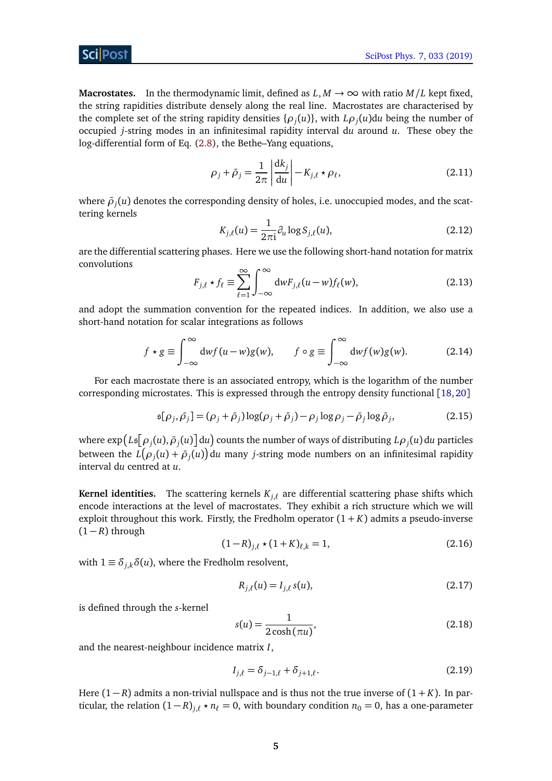### Sci Post

**Macrostates.** In the thermodynamic limit, defined as  $L, M \rightarrow \infty$  with ratio  $M/L$  kept fixed, the string rapidities distribute densely along the real line. Macrostates are characterised by the complete set of the string rapidity densities  $\{\rho_j(u)\}\$ , with  $L\rho_j(u)du$  being the number of occupied *j*-string modes in an infinitesimal rapidity interval d*u* around *u*. These obey the log-differential form of Eq. [\(2.8\)](#page-3-1), the Bethe–Yang equations,

<span id="page-4-1"></span>
$$
\rho_j + \bar{\rho}_j = \frac{1}{2\pi} \left| \frac{\mathrm{d}k_j}{\mathrm{d}u} \right| - K_{j,\ell} \star \rho_\ell,\tag{2.11}
$$

where  $\bar{\rho}_j(u)$  denotes the corresponding density of holes, i.e. unoccupied modes, and the scattering kernels

$$
K_{j,\ell}(u) = \frac{1}{2\pi i} \partial_u \log S_{j,\ell}(u),\tag{2.12}
$$

are the differential scattering phases. Here we use the following short-hand notation for matrix convolutions

$$
F_{j,\ell} \star f_{\ell} \equiv \sum_{\ell=1}^{\infty} \int_{-\infty}^{\infty} dw F_{j,\ell}(u-w) f_{\ell}(w), \qquad (2.13)
$$

and adopt the summation convention for the repeated indices. In addition, we also use a short-hand notation for scalar integrations as follows

$$
f \star g \equiv \int_{-\infty}^{\infty} dw f(u - w) g(w), \qquad f \circ g \equiv \int_{-\infty}^{\infty} dw f(w) g(w). \tag{2.14}
$$

For each macrostate there is an associated entropy, which is the logarithm of the number corresponding microstates. This is expressed through the entropy density functional [[18,](#page-23-10)[20](#page-24-0)]

$$
\mathfrak{s}[\rho_j, \bar{\rho}_j] = (\rho_j + \bar{\rho}_j) \log(\rho_j + \bar{\rho}_j) - \rho_j \log \rho_j - \bar{\rho}_j \log \bar{\rho}_j, \tag{2.15}
$$

where  $\exp\bigl(L\mathfrak{s}[\rho_j(u), \bar{\rho}_j(u)\bigr]$ d $u\bigr)$  counts the number of ways of distributing  $L\rho_j(u)$  d $u$  particles between the  $L\big(\rho_j(u) + \bar\rho_j(u)\big)$ d $u$  many *j*-string mode numbers on an infinitesimal rapidity interval d*u* centred at *u*.

**Kernel identities.** The scattering kernels  $K_{i,\ell}$  are differential scattering phase shifts which encode interactions at the level of macrostates. They exhibit a rich structure which we will exploit throughout this work. Firstly, the Fredholm operator  $(1 + K)$  admits a pseudo-inverse  $(1 - R)$  through

<span id="page-4-2"></span><span id="page-4-0"></span>
$$
(1 - R)_{j,\ell} \star (1 + K)_{\ell,k} = 1,\tag{2.16}
$$

with  $1 \equiv \delta_{ik}\delta(u)$ , where the Fredholm resolvent,

$$
R_{j,\ell}(u) = I_{j,\ell} s(u),
$$
\n(2.17)

is defined through the *s*-kernel

$$
s(u) = \frac{1}{2\cosh(\pi u)},\tag{2.18}
$$

and the nearest-neighbour incidence matrix *I*,

$$
I_{j,\ell} = \delta_{j-1,\ell} + \delta_{j+1,\ell}.
$$
\n(2.19)

Here  $(1 - R)$  admits a non-trivial nullspace and is thus not the true inverse of  $(1 + K)$ . In particular, the relation  $(1 - R)_{i,\ell} \star n_{\ell} = 0$ , with boundary condition  $n_0 = 0$ , has a one-parameter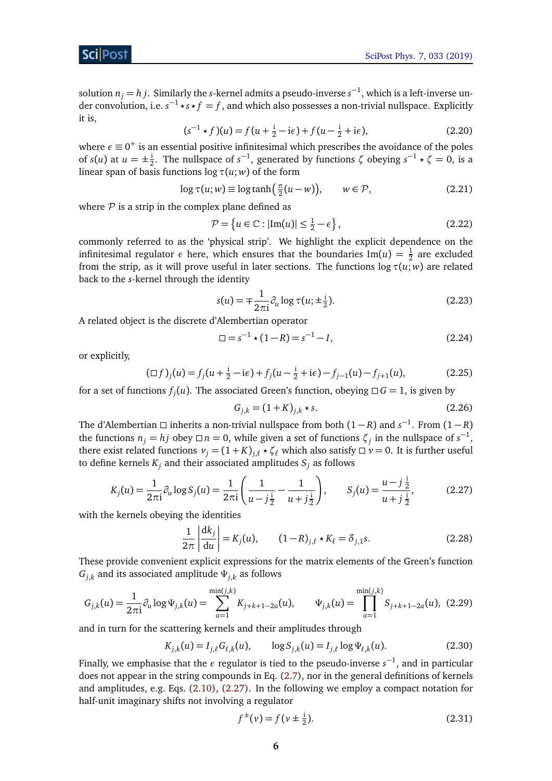solution  $n_j = h$   $j$ . Similarly the  $s$ -kernel admits a pseudo-inverse  $s^{-1}$ , which is a left-inverse under convolution, i.e.  $s^{-1} \star s \star f = f$ , and which also possesses a non-trivial nullspace. Explicitly it is,

$$
(s^{-1} \star f)(u) = f(u + \frac{i}{2} - i\epsilon) + f(u - \frac{i}{2} + i\epsilon),
$$
 (2.20)

where  $\epsilon \equiv 0^+$  is an essential positive infinitesimal which prescribes the avoidance of the poles of *s*(*u*) at  $u = \pm \frac{1}{2}$  $\frac{1}{2}$ . The nullspace of *s*<sup>-1</sup>, generated by functions  $\zeta$  obeying  $s^{-1} \star \zeta = 0$ , is a linear span of basis functions  $\log \tau(u; w)$  of the form

$$
\log \tau(u; w) \equiv \log \tanh\left(\frac{\pi}{2}(u - w)\right), \qquad w \in \mathcal{P}, \tag{2.21}
$$

where  $P$  is a strip in the complex plane defined as

<span id="page-5-5"></span><span id="page-5-1"></span>
$$
\mathcal{P} = \left\{ u \in \mathbb{C} : |\text{Im}(u)| \le \frac{1}{2} - \epsilon \right\},\tag{2.22}
$$

commonly referred to as the 'physical strip'. We highlight the explicit dependence on the infinitesimal regulator  $\epsilon$  here, which ensures that the boundaries Im( $u$ ) =  $\frac{1}{2}$  are excluded from the strip, as it will prove useful in later sections. The functions  $\log \tau(u; w)$  are related back to the *s*-kernel through the identity

<span id="page-5-6"></span>
$$
s(u) = \mp \frac{1}{2\pi i} \partial_u \log \tau(u; \pm \frac{i}{2}).
$$
\n(2.23)

A related object is the discrete d'Alembertian operator

$$
\Box = s^{-1} \star (1 - R) = s^{-1} - I,\tag{2.24}
$$

or explicitly,

<span id="page-5-3"></span>
$$
(\Box f)_j(u) = f_j(u + \frac{i}{2} - i\epsilon) + f_j(u - \frac{i}{2} + i\epsilon) - f_{j-1}(u) - f_{j+1}(u),
$$
\n(2.25)

for a set of functions  $f_j(u)$ . The associated Green's function, obeying  $\Box G = 1$ , is given by

<span id="page-5-2"></span><span id="page-5-0"></span>
$$
G_{j,k} = (1 + K)_{j,k} \star s. \tag{2.26}
$$

The d'Alembertian □ inherits a non-trivial nullspace from both  $(1 - R)$  and  $s^{-1}$ . From  $(1 - R)$ the functions  $n_j = hj$  obey  $\Box n = 0$ , while given a set of functions  $\zeta_j$  in the nullspace of  $s^{-1}$ , there exist related functions  $v_j = (1 + K)_{j,\ell} * \zeta_\ell$  which also satisfy  $\Box v = 0$ . It is further useful to define kernels  $K_j$  and their associated amplitudes  $S_j$  as follows

$$
K_j(u) = \frac{1}{2\pi i} \partial_u \log S_j(u) = \frac{1}{2\pi i} \left( \frac{1}{u - j\frac{1}{2}} - \frac{1}{u + j\frac{1}{2}} \right), \qquad S_j(u) = \frac{u - j\frac{1}{2}}{u + j\frac{1}{2}},
$$
(2.27)

with the kernels obeying the identities

<span id="page-5-7"></span><span id="page-5-4"></span>
$$
\frac{1}{2\pi} \left| \frac{\mathrm{d}k_j}{\mathrm{d}u} \right| = K_j(u), \qquad (1 - R)_{j,\ell} \star K_\ell = \delta_{j,1} s. \tag{2.28}
$$

These provide convenient explicit expressions for the matrix elements of the Green's function  $G_{i,k}$  and its associated amplitude  $\Psi_{i,k}$  as follows

$$
G_{j,k}(u) = \frac{1}{2\pi i} \partial_u \log \Psi_{j,k}(u) = \sum_{a=1}^{\min(j,k)} K_{j+k+1-2a}(u), \qquad \Psi_{j,k}(u) = \prod_{a=1}^{\min(j,k)} S_{j+k+1-2a}(u), \tag{2.29}
$$

and in turn for the scattering kernels and their amplitudes through

$$
K_{j,k}(u) = I_{j,\ell} G_{\ell,k}(u), \qquad \log S_{j,k}(u) = I_{j,\ell} \log \Psi_{\ell,k}(u). \tag{2.30}
$$

Finally, we emphasise that the  $\epsilon$  regulator is tied to the pseudo-inverse  $s^{-1}$ , and in particular does not appear in the string compounds in Eq. [\(2.7\)](#page-3-2), nor in the general definitions of kernels and amplitudes, e.g. Eqs. [\(2.10\)](#page-3-3), [\(2.27\)](#page-5-0). In the following we employ a compact notation for half-unit imaginary shifts not involving a regulator

$$
f^{\pm}(\nu) = f(\nu \pm \frac{1}{2}).
$$
\n(2.31)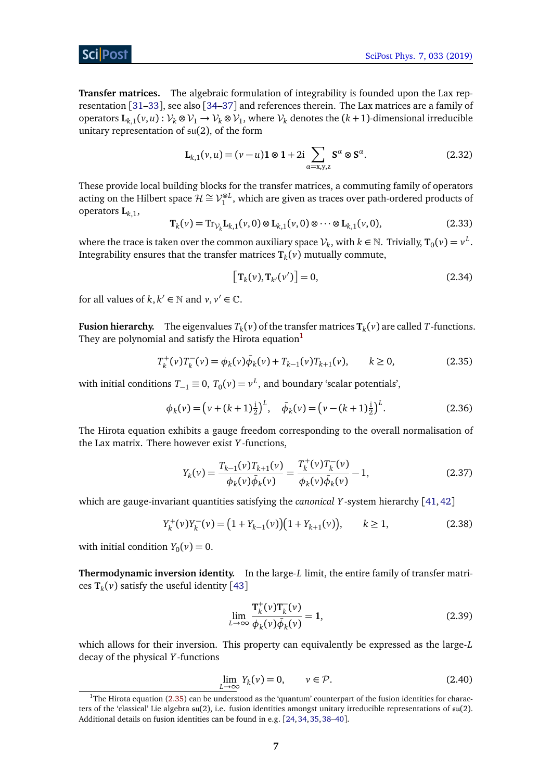### Sci Post

**Transfer matrices.** The algebraic formulation of integrability is founded upon the Lax representation [[31–](#page-24-10)[33](#page-24-11)], see also [[34–](#page-24-12)[37](#page-25-0)] and references therein. The Lax matrices are a family of operators  $\mathbf{L}_{k,1}(v, u): \mathcal{V}_k \otimes \mathcal{V}_1 \to \mathcal{V}_k \otimes \mathcal{V}_1$ , where  $\mathcal{V}_k$  denotes the  $(k+1)$ -dimensional irreducible unitary representation of su(2), of the form

$$
\mathbf{L}_{k,1}(v,u) = (v-u)\mathbf{1} \otimes \mathbf{1} + 2i \sum_{\alpha=x,y,z} \mathbf{S}^{\alpha} \otimes \mathbf{S}^{\alpha}.
$$
 (2.32)

These provide local building blocks for the transfer matrices, a commuting family of operators acting on the Hilbert space  $\mathcal{H} \cong \mathcal{V}_1^{\otimes L}$ , which are given as traces over path-ordered products of operators **L***k*,1,

<span id="page-6-3"></span>
$$
\mathbf{T}_{k}(v) = \text{Tr}_{\mathcal{V}_{k}} \mathbf{L}_{k,1}(v,0) \otimes \mathbf{L}_{k,1}(v,0) \otimes \cdots \otimes \mathbf{L}_{k,1}(v,0),
$$
 (2.33)

where the trace is taken over the common auxiliary space  $\mathcal{V}_k$ , with  $k \in \mathbb{N}$ . Trivially,  $\texttt{T}_0(\nu) = \nu^L$ . Integrability ensures that the transfer matrices **T***<sup>k</sup>* (*v*) mutually commute,

<span id="page-6-4"></span><span id="page-6-1"></span>
$$
\left[\mathbf{T}_{k}(\nu),\mathbf{T}_{k'}(\nu')\right]=0,\tag{2.34}
$$

for all values of  $k, k' \in \mathbb{N}$  and  $v, v' \in \mathbb{C}$ .

**Fusion hierarchy.** The eigenvalues  $T_k(v)$  of the transfer matrices  $\mathbf{T}_k(v)$  are called  $T$ -functions. They are polynomial and satisfy the Hirota equation<sup>[1](#page-6-0)</sup>

$$
T_k^+(\nu)T_k^-(\nu) = \phi_k(\nu)\bar{\phi}_k(\nu) + T_{k-1}(\nu)T_{k+1}(\nu), \qquad k \ge 0,
$$
\n(2.35)

with initial conditions  $T_{-1} \equiv 0$ ,  $T_0(v) = v^L$ , and boundary 'scalar potentials',

$$
\phi_k(\nu) = \left(\nu + (k+1)\frac{1}{2}\right)^L, \quad \bar{\phi}_k(\nu) = \left(\nu - (k+1)\frac{1}{2}\right)^L. \tag{2.36}
$$

The Hirota equation exhibits a gauge freedom corresponding to the overall normalisation of the Lax matrix. There however exist *Y* -functions,

$$
Y_k(\nu) = \frac{T_{k-1}(\nu)T_{k+1}(\nu)}{\phi_k(\nu)\bar{\phi}_k(\nu)} = \frac{T_k^+(\nu)T_k^-(\nu)}{\phi_k(\nu)\bar{\phi}_k(\nu)} - 1,
$$
\n(2.37)

which are gauge-invariant quantities satisfying the *canonical Y* -system hierarchy [[41,](#page-25-1)[42](#page-25-2)]

$$
Y_k^+(\nu)Y_k^-(\nu) = (1 + Y_{k-1}(\nu))(1 + Y_{k+1}(\nu)), \qquad k \ge 1,
$$
\n(2.38)

with initial condition  $Y_0(v) = 0$ .

**Thermodynamic inversion identity.** In the large-*L* limit, the entire family of transfer matrices **T***<sup>k</sup>* (*v*) satisfy the useful identity [[43](#page-25-3)]

<span id="page-6-2"></span>
$$
\lim_{L \to \infty} \frac{\mathbf{T}_{k}^{+}(\nu)\mathbf{T}_{k}^{-}(\nu)}{\phi_{k}(\nu)\bar{\phi}_{k}(\nu)} = 1, \tag{2.39}
$$

which allows for their inversion. This property can equivalently be expressed as the large-*L* decay of the physical *Y* -functions

$$
\lim_{L \to \infty} Y_k(\nu) = 0, \qquad \nu \in \mathcal{P}.
$$
\n(2.40)

<span id="page-6-0"></span><sup>&</sup>lt;sup>1</sup>The Hirota equation [\(2.35\)](#page-6-1) can be understood as the 'quantum' counterpart of the fusion identities for characters of the 'classical' Lie algebra su(2), i.e. fusion identities amongst unitary irreducible representations of su(2). Additional details on fusion identities can be found in e.g. [[24,](#page-24-4)[34,](#page-24-12)[35,](#page-24-13)[38–](#page-25-4)[40](#page-25-5)].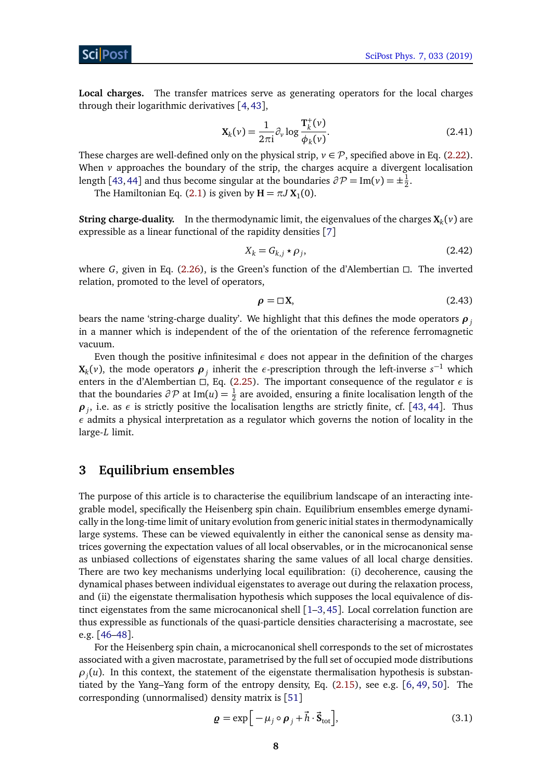### ScilPos<sup>.</sup>

**Local charges.** The transfer matrices serve as generating operators for the local charges through their logarithmic derivatives [[4,](#page-23-0)[43](#page-25-3)],

<span id="page-7-3"></span>
$$
\mathbf{X}_{k}(v) = \frac{1}{2\pi i} \partial_{v} \log \frac{\mathbf{T}_{k}^{+}(v)}{\phi_{k}(v)}.
$$
\n(2.41)

These charges are well-defined only on the physical strip,  $v \in \mathcal{P}$ , specified above in Eq. [\(2.22\)](#page-5-1). When  $\nu$  approaches the boundary of the strip, the charges acquire a divergent localisation length [[43,](#page-25-3) [44](#page-25-6)] and thus become singular at the boundaries  $\partial \mathcal{P} = \text{Im}(\nu) = \pm \frac{1}{2}$  $rac{1}{2}$ .

The Hamiltonian Eq. [\(2.1\)](#page-2-1) is given by  $H = \pi J X_1(0)$ .

**String charge-duality.** In the thermodynamic limit, the eigenvalues of the charges  $X_k(v)$  are expressible as a linear functional of the rapidity densities [[7](#page-23-2)]

$$
X_k = G_{k,j} \star \rho_j,\tag{2.42}
$$

where *G*, given in Eq.  $(2.26)$ , is the Green's function of the d'Alembertian  $\Box$ . The inverted relation, promoted to the level of operators,

<span id="page-7-2"></span>
$$
\rho = \Box X, \tag{2.43}
$$

bears the name 'string-charge duality'. We highlight that this defines the mode operators *ρ<sup>j</sup>* in a manner which is independent of the of the orientation of the reference ferromagnetic vacuum.

Even though the positive infinitesimal *ε* does not appear in the definition of the charges **X**<sub>*k*</sub>(*v*), the mode operators  $\rho_j$  inherit the *ε*-prescription through the left-inverse  $s^{-1}$  which enters in the d'Alembertian  $\Box$ , Eq. [\(2.25\)](#page-5-3). The important consequence of the regulator  $\epsilon$  is that the boundaries  $\partial \mathcal{P}$  at Im(*u*) =  $\frac{1}{2}$  are avoided, ensuring a finite localisation length of the  $\rho_j$ , i.e. as  $\epsilon$  is strictly positive the localisation lengths are strictly finite, cf. [[43,](#page-25-3) [44](#page-25-6)]. Thus *ε* admits a physical interpretation as a regulator which governs the notion of locality in the large-*L* limit.

### <span id="page-7-0"></span>**3 Equilibrium ensembles**

The purpose of this article is to characterise the equilibrium landscape of an interacting integrable model, specifically the Heisenberg spin chain. Equilibrium ensembles emerge dynamically in the long-time limit of unitary evolution from generic initial states in thermodynamically large systems. These can be viewed equivalently in either the canonical sense as density matrices governing the expectation values of all local observables, or in the microcanonical sense as unbiased collections of eigenstates sharing the same values of all local charge densities. There are two key mechanisms underlying local equilibration: (i) decoherence, causing the dynamical phases between individual eigenstates to average out during the relaxation process, and (ii) the eigenstate thermalisation hypothesis which supposes the local equivalence of distinct eigenstates from the same microcanonical shell  $[1-3,45]$  $[1-3,45]$  $[1-3,45]$  $[1-3,45]$  $[1-3,45]$ . Local correlation function are thus expressible as functionals of the quasi-particle densities characterising a macrostate, see e.g. [[46–](#page-25-8)[48](#page-25-9)].

For the Heisenberg spin chain, a microcanonical shell corresponds to the set of microstates associated with a given macrostate, parametrised by the full set of occupied mode distributions  $\rho_j(u)$ . In this context, the statement of the eigenstate thermalisation hypothesis is substantiated by the Yang–Yang form of the entropy density, Eq. [\(2.15\)](#page-4-0), see e.g. [[6,](#page-23-1) [49,](#page-25-10) [50](#page-25-11)]. The corresponding (unnormalised) density matrix is [[51](#page-26-0)]

<span id="page-7-1"></span>
$$
\mathbf{g} = \exp\Big[-\mu_j \circ \mathbf{\rho}_j + \vec{h} \cdot \vec{\mathbf{S}}_{\text{tot}}\Big],\tag{3.1}
$$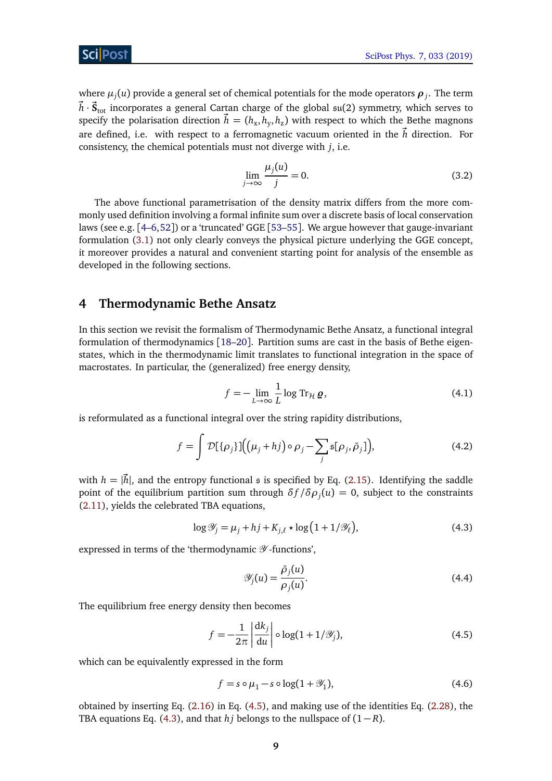where  $\mu_j(u)$  provide a general set of chemical potentials for the mode operators  $\boldsymbol{\rho}_j.$  The term  $\vec{h} \cdot \vec{\mathbf{S}}_\text{tot}$  incorporates a general Cartan charge of the global  $\mathfrak{su}(2)$  symmetry, which serves to specify the polarisation direction  $\vec{h} = (h_{\rm x}, h_{\rm y}, h_{\rm z})$  with respect to which the Bethe magnons are defined, i.e. with respect to a ferromagnetic vacuum oriented in the  $\vec{h}$  direction. For consistency, the chemical potentials must not diverge with *j*, i.e.

<span id="page-8-3"></span>
$$
\lim_{j \to \infty} \frac{\mu_j(u)}{j} = 0. \tag{3.2}
$$

The above functional parametrisation of the density matrix differs from the more commonly used definition involving a formal infinite sum over a discrete basis of local conservation laws (see e.g. [[4](#page-23-0)[–6,](#page-23-1)[52](#page-26-1)]) or a 'truncated' GGE [[53](#page-26-2)[–55](#page-26-3)]. We argue however that gauge-invariant formulation [\(3.1\)](#page-7-1) not only clearly conveys the physical picture underlying the GGE concept, it moreover provides a natural and convenient starting point for analysis of the ensemble as developed in the following sections.

### <span id="page-8-0"></span>**4 Thermodynamic Bethe Ansatz**

In this section we revisit the formalism of Thermodynamic Bethe Ansatz, a functional integral formulation of thermodynamics [[18–](#page-23-10)[20](#page-24-0)]. Partition sums are cast in the basis of Bethe eigenstates, which in the thermodynamic limit translates to functional integration in the space of macrostates. In particular, the (generalized) free energy density,

$$
f = -\lim_{L \to \infty} \frac{1}{L} \log \operatorname{Tr}_{\mathcal{H}} \varrho, \tag{4.1}
$$

is reformulated as a functional integral over the string rapidity distributions,

$$
f = \int \mathcal{D}[\{\rho_j\}]\Big(\big(\mu_j + h_j\big) \circ \rho_j - \sum_j \mathfrak{s}[\rho_j, \bar{\rho}_j]\Big),\tag{4.2}
$$

with  $h = |\vec{h}|$ , and the entropy functional s is specified by Eq. [\(2.15\)](#page-4-0). Identifying the saddle point of the equilibrium partition sum through  $\delta f/\delta\rho_j(u)=0,$  subject to the constraints [\(2.11\)](#page-4-1), yields the celebrated TBA equations,

$$
\log \mathcal{Y}_j = \mu_j + hj + K_{j,\ell} \star \log \left( 1 + 1/\mathcal{Y}_\ell \right),\tag{4.3}
$$

expressed in terms of the 'thermodynamic  $\mathscr Y$ -functions',

<span id="page-8-2"></span><span id="page-8-1"></span>
$$
\mathscr{Y}_j(u) = \frac{\bar{\rho}_j(u)}{\rho_j(u)}.\tag{4.4}
$$

The equilibrium free energy density then becomes

$$
f = -\frac{1}{2\pi} \left| \frac{\mathrm{d}k_j}{\mathrm{d}u} \right| \circ \log(1 + 1/\mathscr{Y}_j),\tag{4.5}
$$

which can be equivalently expressed in the form

<span id="page-8-4"></span>
$$
f = s \circ \mu_1 - s \circ \log(1 + \mathcal{Y}_1),\tag{4.6}
$$

obtained by inserting Eq. [\(2.16\)](#page-4-2) in Eq. [\(4.5\)](#page-8-1), and making use of the identities Eq. [\(2.28\)](#page-5-4), the TBA equations Eq. [\(4.3\)](#page-8-2), and that *hj* belongs to the nullspace of  $(1 - R)$ .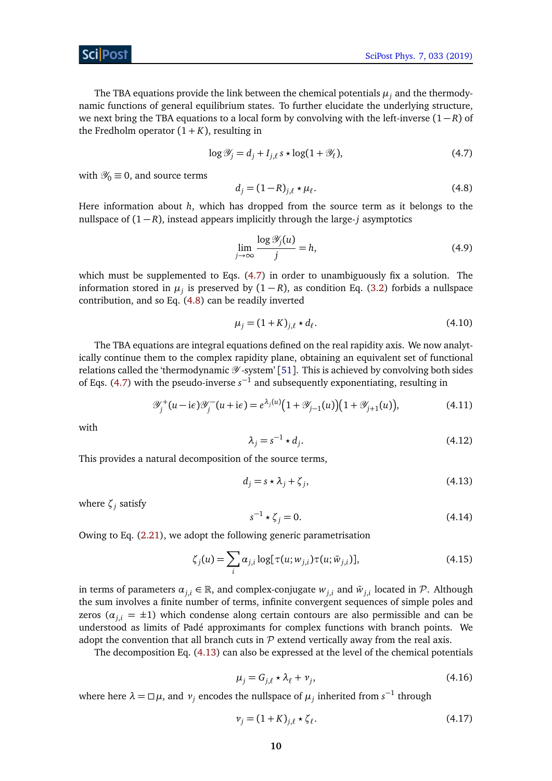The TBA equations provide the link between the chemical potentials  $\mu_j$  and the thermodynamic functions of general equilibrium states. To further elucidate the underlying structure, we next bring the TBA equations to a local form by convolving with the left-inverse (1 − *R*) of the Fredholm operator  $(1 + K)$ , resulting in

<span id="page-9-1"></span><span id="page-9-0"></span>
$$
\log \mathcal{Y}_j = d_j + I_{j,\ell} s \star \log(1 + \mathcal{Y}_\ell),\tag{4.7}
$$

with  $\mathcal{Y}_0 \equiv 0$ , and source terms

$$
d_j = (1 - R)_{j,\ell} \star \mu_\ell. \tag{4.8}
$$

Here information about *h*, which has dropped from the source term as it belongs to the nullspace of  $(1 - R)$ , instead appears implicitly through the large-*j* asymptotics

$$
\lim_{j \to \infty} \frac{\log \mathcal{Y}_j(u)}{j} = h,\tag{4.9}
$$

which must be supplemented to Eqs. [\(4.7\)](#page-9-0) in order to unambiguously fix a solution. The information stored in  $\mu_j$  is preserved by  $(1 - R)$ , as condition Eq. [\(3.2\)](#page-8-3) forbids a nullspace contribution, and so Eq. [\(4.8\)](#page-9-1) can be readily inverted

$$
\mu_j = (1 + K)_{j,\ell} \star d_\ell. \tag{4.10}
$$

The TBA equations are integral equations defined on the real rapidity axis. We now analytically continue them to the complex rapidity plane, obtaining an equivalent set of functional relations called the 'thermodynamic  $\mathscr Y$ -system' [[51](#page-26-0)]. This is achieved by convolving both sides of Eqs. [\(4.7\)](#page-9-0) with the pseudo-inverse  $s^{-1}$  and subsequently exponentiating, resulting in

$$
\mathscr{Y}_j^+(u-\mathrm{i}\epsilon)\mathscr{Y}_j^-(u+\mathrm{i}\epsilon) = e^{\lambda_j(u)}\big(1+\mathscr{Y}_{j-1}(u)\big)\big(1+\mathscr{Y}_{j+1}(u)\big),\tag{4.11}
$$

with

<span id="page-9-3"></span><span id="page-9-2"></span>
$$
\lambda_j = s^{-1} \star d_j. \tag{4.12}
$$

This provides a natural decomposition of the source terms,

$$
d_j = s \star \lambda_j + \zeta_j,\tag{4.13}
$$

where *ζ<sup>j</sup>* satisfy

<span id="page-9-5"></span>
$$
s^{-1} \star \zeta_j = 0. \tag{4.14}
$$

Owing to Eq. [\(2.21\)](#page-5-5), we adopt the following generic parametrisation

$$
\zeta_j(u) = \sum_i \alpha_{j,i} \log[\tau(u; w_{j,i}) \tau(u; \bar{w}_{j,i})], \qquad (4.15)
$$

in terms of parameters  $\alpha_{j,i} \in \mathbb{R}$ , and complex-conjugate  $w_{j,i}$  and  $\bar{w}_{j,i}$  located in  $\mathcal{P}$ . Although the sum involves a finite number of terms, infinite convergent sequences of simple poles and zeros ( $\alpha_{ij}$  =  $\pm$ 1) which condense along certain contours are also permissible and can be understood as limits of Padé approximants for complex functions with branch points. We adopt the convention that all branch cuts in  $\mathcal P$  extend vertically away from the real axis.

<span id="page-9-4"></span>The decomposition Eq. [\(4.13\)](#page-9-2) can also be expressed at the level of the chemical potentials

$$
\mu_j = G_{j,\ell} \star \lambda_\ell + \nu_j,\tag{4.16}
$$

where here  $\lambda = \Box \mu$ , and  $\nu_j$  encodes the nullspace of  $\mu_j$  inherited from  $s^{-1}$  through

$$
\nu_j = (1 + K)_{j,\ell} \star \zeta_\ell. \tag{4.17}
$$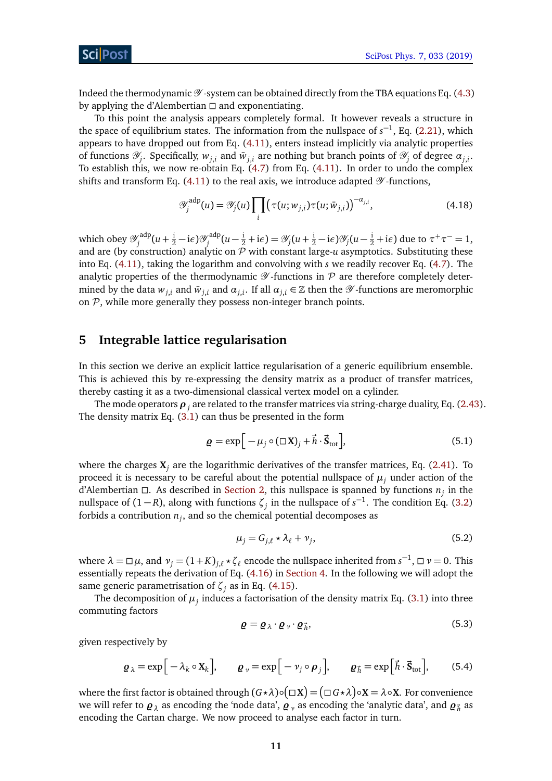Indeed the thermodynamic  $\mathscr Y$ -system can be obtained directly from the TBA equations Eq. [\(4.3\)](#page-8-2) by applying the d'Alembertian  $\Box$  and exponentiating.

To this point the analysis appears completely formal. It however reveals a structure in the space of equilibrium states. The information from the nullspace of  $s^{-1}$ , Eq. [\(2.21\)](#page-5-5), which appears to have dropped out from Eq. [\(4.11\)](#page-9-3), enters instead implicitly via analytic properties of functions  $\mathscr{Y}_j$ . Specifically,  $w_{j,i}$  and  $\bar{w}_{j,i}$  are nothing but branch points of  $\mathscr{Y}_j$  of degree  $\alpha_{j,i}$ . To establish this, we now re-obtain Eq. [\(4.7\)](#page-9-0) from Eq. [\(4.11\)](#page-9-3). In order to undo the complex shifts and transform Eq. [\(4.11\)](#page-9-3) to the real axis, we introduce adapted  $\mathscr Y$ -functions,

$$
\mathscr{Y}_j^{\text{adp}}(u) = \mathscr{Y}_j(u) \prod_i \left( \tau(u; w_{j,i}) \tau(u; \bar{w}_{j,i}) \right)^{-\alpha_{j,i}}, \tag{4.18}
$$

which obey  $\mathscr{Y}^{\mathrm{adp}}_i$  $\mathcal{U}_j^{\text{adp}}(u+\frac{1}{2}-i\epsilon)\mathcal{Y}_j^{\text{adp}}$  $\mathscr{Y}_j^{\text{adp}}(u-\frac{i}{2}+i\epsilon) = \mathscr{Y}_j(u+\frac{i}{2}-i\epsilon)\mathscr{Y}_j(u-\frac{i}{2}+i\epsilon)$  due to  $\tau^+\tau^- = 1$ , and are (by construction) analytic on  $\mathcal P$  with constant large- $u$  asymptotics. Substituting these into Eq. [\(4.11\)](#page-9-3), taking the logarithm and convolving with *s* we readily recover Eq. [\(4.7\)](#page-9-0). The analytic properties of the thermodynamic  $\mathscr Y$ -functions in  $\mathcal P$  are therefore completely determined by the data  $w_{j,i}$  and  $\bar{w}_{j,i}$  and  $\alpha_{j,i}$ . If all  $\alpha_{j,i} \in \mathbb{Z}$  then the  $\mathscr{Y}$ -functions are meromorphic on  $P$ , while more generally they possess non-integer branch points.

## <span id="page-10-0"></span>**5 Integrable lattice regularisation**

In this section we derive an explicit lattice regularisation of a generic equilibrium ensemble. This is achieved this by re-expressing the density matrix as a product of transfer matrices, thereby casting it as a two-dimensional classical vertex model on a cylinder.

The mode operators  $\boldsymbol{\rho}_j$  are related to the transfer matrices via string-charge duality, Eq. [\(2.43\)](#page-7-2). The density matrix Eq.  $(3.1)$  can thus be presented in the form

$$
\mathbf{g} = \exp\Big[-\mu_j \circ (\Box \mathbf{X})_j + \vec{h} \cdot \vec{\mathbf{S}}_{\text{tot}}\Big],\tag{5.1}
$$

where the charges  $X_i$  are the logarithmic derivatives of the transfer matrices, Eq. [\(2.41\)](#page-7-3). To proceed it is necessary to be careful about the potential nullspace of  $\mu_j$  under action of the d'Alembertian  $\Box$ . As described in [Section 2,](#page-2-0) this nullspace is spanned by functions  $n_j$  in the nullspace of  $(1 - R)$ , along with functions  $\zeta_j$  in the nullspace of  $s^{-1}$ . The condition Eq. [\(3.2\)](#page-8-3) forbids a contribution *n<sup>j</sup>* , and so the chemical potential decomposes as

$$
\mu_j = G_{j,\ell} \star \lambda_\ell + \nu_j,\tag{5.2}
$$

where  $\lambda = \Box \mu$ , and  $\nu_j = (1 + K)_{j,\ell} \star \zeta_\ell$  encode the nullspace inherited from  $s^{-1}$ ,  $\Box \nu = 0$ . This essentially repeats the derivation of Eq. [\(4.16\)](#page-9-4) in [Section 4.](#page-8-0) In the following we will adopt the same generic parametrisation of  $\zeta$ <sup>*j*</sup> as in Eq. [\(4.15\)](#page-9-5).

The decomposition of  $\mu_j$  induces a factorisation of the density matrix Eq. [\(3.1\)](#page-7-1) into three commuting factors

$$
\mathbf{Q} = \mathbf{Q}_{\lambda} \cdot \mathbf{Q}_{\nu} \cdot \mathbf{Q}_{h} \tag{5.3}
$$

given respectively by

$$
\boldsymbol{Q}_{\lambda} = \exp\Big[-\lambda_k \circ \mathbf{X}_k\Big], \qquad \boldsymbol{Q}_{\nu} = \exp\Big[-\nu_j \circ \boldsymbol{\rho}_j\Big], \qquad \boldsymbol{Q}_{\vec{h}} = \exp\Big[\vec{h} \cdot \vec{\mathbf{S}}_{\text{tot}}\Big], \qquad (5.4)
$$

where the first factor is obtained through  $(G \star \lambda) \circ \big(\Box X\big) = \big(\Box\, G \star \lambda\big) \circ X = \lambda \circ X.$  For convenience we will refer to  $\bm{\varrho}_{\lambda}$  as encoding the 'node data',  $\bm{\varrho}_{\nu}$  as encoding the 'analytic data', and  $\bm{\varrho}_{\vec{h}}$  as encoding the Cartan charge. We now proceed to analyse each factor in turn.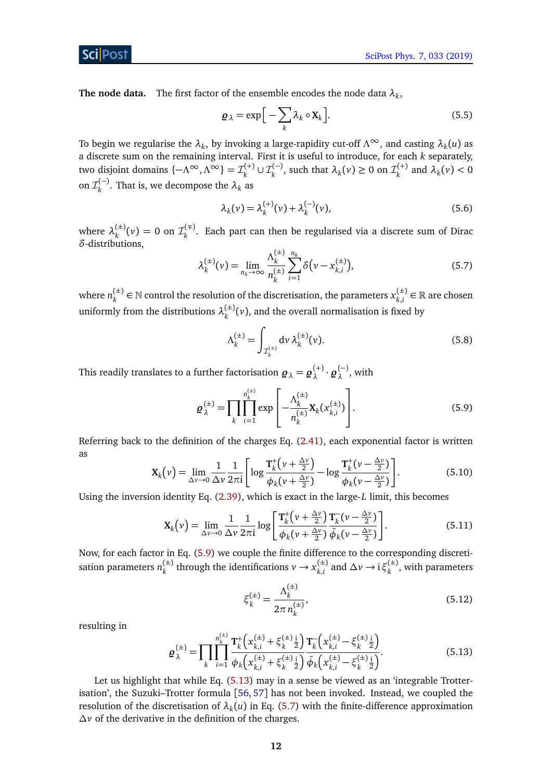**The node data.** The first factor of the ensemble encodes the node data *λ<sup>k</sup>* ,

$$
\mathbf{Q}_{\lambda} = \exp\Big[-\sum_{k} \lambda_k \circ \mathbf{X}_k\Big].
$$
 (5.5)

To begin we regularise the  $\lambda_k$ , by invoking a large-rapidity cut-off  $\Lambda^\infty$ , and casting  $\lambda_k(u)$  as a discrete sum on the remaining interval. First it is useful to introduce, for each *k* separately, two disjoint domains  $\{-\Lambda^{\infty}, \Lambda^{\infty}\} = \mathcal{I}^{(+)}_k$  $\mathcal{I}_k^{(+)} \cup \mathcal{I}_k^{(-)}$  $\chi_k^{(-)}$ , such that  $\lambda_k(v) \geq 0$  on  $\mathcal{I}_k^{(+)}$  $\lambda_k^{(\dagger)}$  and  $\lambda_k(v)$  < 0 on  $\mathcal{I}_k^{(-)}$  $\lambda_k^{(-)}$ . That is, we decompose the  $\lambda_k$  as

$$
\lambda_k(\nu) = \lambda_k^{(+)}(\nu) + \lambda_k^{(-)}(\nu),
$$
\n(5.6)

where  $\lambda_k^{(\pm)}$  $\chi_k^{(\pm)}(\nu) = 0$  on  $\mathcal{I}_k^{(\mp)}$ *k* . Each part can then be regularised via a discrete sum of Dirac *δ*-distributions,

<span id="page-11-2"></span>
$$
\lambda_k^{(\pm)}(\nu) = \lim_{n_k \to \infty} \frac{\Lambda_k^{(\pm)}}{n_k^{(\pm)}} \sum_{i=1}^{n_k} \delta(\nu - x_{k,i}^{(\pm)}), \tag{5.7}
$$

where  $n_k^{(\pm)}$  $k_k^{(\pm)}$  ∈ N control the resolution of the discretisation, the parameters  $x_{k,i}^{(\pm)}$  $\binom{(\pm)}{k,i}$  ∈ ℝ are chosen uniformly from the distributions  $\lambda_k^{(\pm)}$  $\binom{f^{(1)}}{k}(v)$ , and the overall normalisation is fixed by

<span id="page-11-0"></span>
$$
\Lambda_k^{(\pm)} = \int_{\mathcal{I}_k^{(\pm)}} d\nu \,\lambda_k^{(\pm)}(\nu). \tag{5.8}
$$

This readily translates to a further factorisation  $\boldsymbol{\varrho}_{\lambda} = \boldsymbol{\varrho}_{\lambda}^{(+)}$ *λ* · *%* (−)  $\lambda^{(-)}$ , with

$$
\mathbf{g}_{\lambda}^{(\pm)} = \prod_{k} \prod_{i=1}^{n_k^{(\pm)}} \exp\left[-\frac{\Lambda_k^{(\pm)}}{n_k^{(\pm)}} \mathbf{X}_k(x_{k,i}^{(\pm)})\right].
$$
 (5.9)

Referring back to the definition of the charges Eq. [\(2.41\)](#page-7-3), each exponential factor is written as

$$
\mathbf{X}_{k}(v) = \lim_{\Delta v \to 0} \frac{1}{\Delta v} \frac{1}{2\pi i} \left[ \log \frac{\mathbf{T}_{k}^{+}\left(v + \frac{\Delta v}{2}\right)}{\phi_{k}(v + \frac{\Delta v}{2})} - \log \frac{\mathbf{T}_{k}^{+}\left(v - \frac{\Delta v}{2}\right)}{\phi_{k}(v - \frac{\Delta v}{2})} \right].
$$
 (5.10)

Using the inversion identity Eq. [\(2.39\)](#page-6-2), which is exact in the large-*L* limit, this becomes

$$
\mathbf{X}_{k}(v) = \lim_{\Delta v \to 0} \frac{1}{\Delta v} \frac{1}{2\pi i} \log \left[ \frac{\mathbf{T}_{k}^{+}\left(v + \frac{\Delta v}{2}\right)}{\phi_{k}(v + \frac{\Delta v}{2})} \frac{\mathbf{T}_{k}^{-}\left(v - \frac{\Delta v}{2}\right)}{\bar{\phi}_{k}(v - \frac{\Delta v}{2})} \right].
$$
\n(5.11)

Now, for each factor in Eq. [\(5.9\)](#page-11-0) we couple the finite difference to the corresponding discretisation parameters  $n_{\iota}^{(\pm)}$  $x_k^{(\pm)}$  through the identifications  $v \rightarrow x_{k,i}^{(\pm)}$  $\chi_{k,i}^{(\pm)}$  and  $\Delta \nu \rightarrow i \xi_k^{(\pm)}$  $\binom{1}{k}$ , with parameters

$$
\xi_k^{(\pm)} = \frac{\Lambda_k^{(\pm)}}{2\pi n_k^{(\pm)}},\tag{5.12}
$$

resulting in

ScilPost

<span id="page-11-1"></span>
$$
\boldsymbol{Q}_{\lambda}^{(\pm)} = \prod_{k} \prod_{i=1}^{n_k^{(\pm)}} \frac{\mathbf{T}_k^{\pm} \left( x_{k,i}^{(\pm)} + \xi_k^{(\pm)} \frac{1}{2} \right)}{\phi_k \left( x_{k,i}^{(\pm)} + \xi_k^{(\pm)} \frac{1}{2} \right)} \frac{\mathbf{T}_k^{\pm} \left( x_{k,i}^{(\pm)} - \xi_k^{(\pm)} \frac{1}{2} \right)}{\phi_k \left( x_{k,i}^{(\pm)} - \xi_k^{(\pm)} \frac{1}{2} \right)}.
$$
(5.13)

Let us highlight that while Eq. [\(5.13\)](#page-11-1) may in a sense be viewed as an 'integrable Trotterisation', the Suzuki–Trotter formula [[56,](#page-26-4) [57](#page-26-5)] has not been invoked. Instead, we coupled the resolution of the discretisation of  $\lambda_k(u)$  in Eq. [\(5.7\)](#page-11-2) with the finite-difference approximation *∆v* of the derivative in the definition of the charges.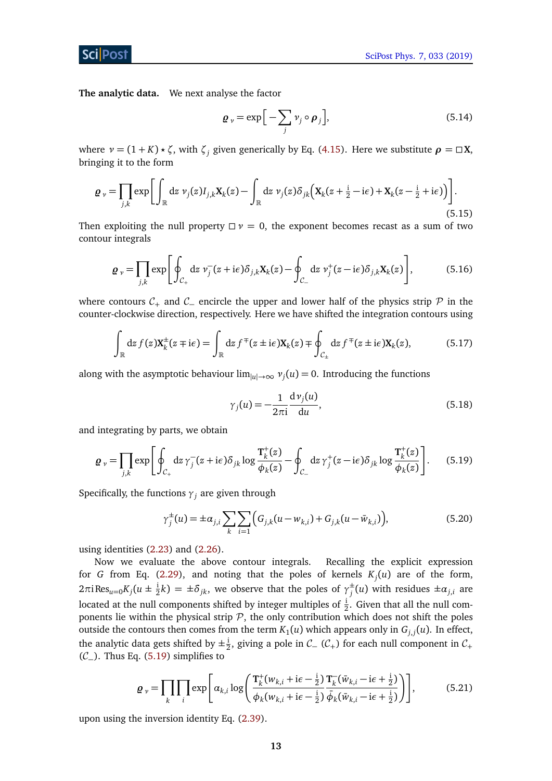**The analytic data.** We next analyse the factor

$$
\boldsymbol{Q}_{\nu} = \exp\Big[-\sum_{j} \nu_{j} \circ \boldsymbol{\rho}_{j}\Big],\tag{5.14}
$$

where  $v = (1 + K) \times \zeta$ , with  $\zeta_i$  given generically by Eq. [\(4.15\)](#page-9-5). Here we substitute  $\rho = \square X$ , bringing it to the form

$$
\varrho_{\nu} = \prod_{j,k} \exp\biggl[\int_{\mathbb{R}} dz \; \nu_j(z) I_{j,k} \mathbf{X}_k(z) - \int_{\mathbb{R}} dz \; \nu_j(z) \delta_{jk} \Bigl(\mathbf{X}_k(z + \frac{i}{2} - i\epsilon) + \mathbf{X}_k(z - \frac{i}{2} + i\epsilon)\Bigr)\biggr].
$$
\n(5.15)

Then exploiting the null property  $\Box \nu = 0$ , the exponent becomes recast as a sum of two contour integrals

$$
\boldsymbol{\varrho}_{\nu} = \prod_{j,k} \exp \left[ \oint_{\mathcal{C}_{+}} \mathrm{d}z \; \nu_{j}^{-}(z + i\epsilon) \delta_{j,k} \mathbf{X}_{k}(z) - \oint_{\mathcal{C}_{-}} \mathrm{d}z \; \nu_{j}^{+}(z - i\epsilon) \delta_{j,k} \mathbf{X}_{k}(z) \right], \tag{5.16}
$$

where contours  $C_+$  and  $C_-\$  encircle the upper and lower half of the physics strip  $\mathcal P$  in the counter-clockwise direction, respectively. Here we have shifted the integration contours using

$$
\int_{\mathbb{R}} dz f(z) \mathbf{X}_{k}^{\pm}(z \mp i\epsilon) = \int_{\mathbb{R}} dz f^{\mp}(z \pm i\epsilon) \mathbf{X}_{k}(z) \mp \oint_{\mathcal{C}_{\pm}} dz f^{\mp}(z \pm i\epsilon) \mathbf{X}_{k}(z), \tag{5.17}
$$

along with the asymptotic behaviour  $\lim_{|u|\to\infty} v_j(u) = 0$ . Introducing the functions

<span id="page-12-0"></span>
$$
\gamma_j(u) = -\frac{1}{2\pi i} \frac{\mathrm{d}\nu_j(u)}{\mathrm{d}u},\tag{5.18}
$$

and integrating by parts, we obtain

$$
\varrho_{\nu} = \prod_{j,k} \exp\left[\oint_{\mathcal{C}_{+}} \mathrm{d}z \,\gamma_{j}^{-}(z+\mathrm{i}\epsilon)\delta_{jk} \log \frac{\mathbf{T}_{k}^{+}(z)}{\phi_{k}(z)} - \oint_{\mathcal{C}_{-}} \mathrm{d}z \,\gamma_{j}^{+}(z-\mathrm{i}\epsilon)\delta_{jk} \log \frac{\mathbf{T}_{k}^{+}(z)}{\phi_{k}(z)}\right]. \tag{5.19}
$$

Specifically, the functions  $\gamma_j$  are given through

$$
\gamma_j^{\pm}(u) = \pm \alpha_{j,i} \sum_k \sum_{i=1}^k \Big( G_{j,k}(u - w_{k,i}) + G_{j,k}(u - \bar{w}_{k,i}) \Big), \tag{5.20}
$$

using identities [\(2.23\)](#page-5-6) and [\(2.26\)](#page-5-2).

Now we evaluate the above contour integrals. Recalling the explicit expression for *G* from Eq. [\(2.29\)](#page-5-7), and noting that the poles of kernels *K<sup>j</sup>* (*u*) are of the form, 2πi Res<sub>u=0</sub>K<sub>*j*</sub>( $u \pm \frac{1}{2}$  $\frac{1}{2}k$ ) =  $\pm \delta_{jk}$ , we observe that the poles of  $\gamma_j^{\pm}$  $j^{\pm}(u)$  with residues  $\pm \alpha_{j,i}$  are located at the null components shifted by integer multiples of  $\frac{1}{2}$ . Given that all the null components lie within the physical strip  $P$ , the only contribution which does not shift the poles outside the contours then comes from the term  $K_1(u)$  which appears only in  $G_{j,j}(u)$ . In effect, the analytic data gets shifted by  $\pm \frac{1}{2}$  $\frac{1}{2}$ , giving a pole in  $C_$  ( $C_+$ ) for each null component in  $C_+$  $(C_$ ). Thus Eq. [\(5.19\)](#page-12-0) simplifies to

<span id="page-12-1"></span>
$$
\varrho_{\nu} = \prod_{k} \prod_{i} \exp\left[\alpha_{k,i} \log\left(\frac{\mathbf{T}_{k}^{+}(w_{k,i} + i\epsilon - \frac{i}{2})}{\phi_{k}(w_{k,i} + i\epsilon - \frac{i}{2})} \frac{\mathbf{T}_{k}^{-}(\bar{w}_{k,i} - i\epsilon + \frac{i}{2})}{\bar{\phi}_{k}(\bar{w}_{k,i} - i\epsilon + \frac{i}{2})}\right)\right],
$$
(5.21)

upon using the inversion identity Eq. [\(2.39\)](#page-6-2).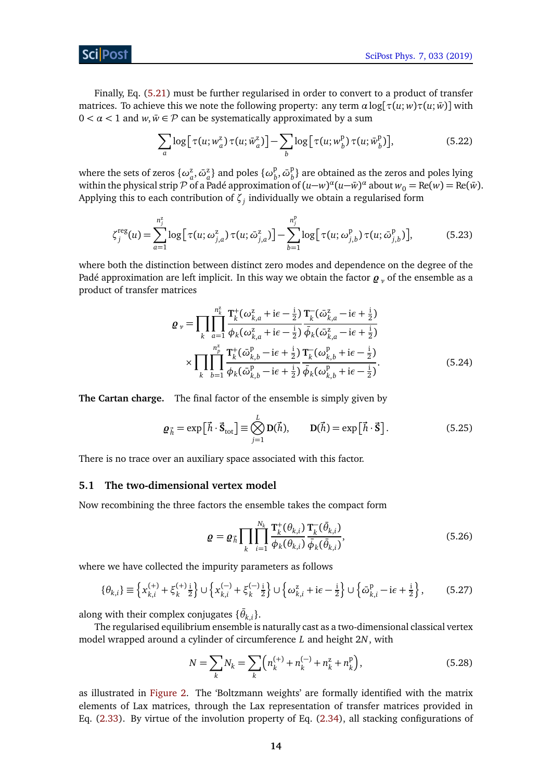Finally, Eq. [\(5.21\)](#page-12-1) must be further regularised in order to convert to a product of transfer matrices. To achieve this we note the following property: any term  $\alpha \log[\tau(u; w)\tau(u; \bar{w})]$  with  $0 < \alpha < 1$  and  $w, \bar{w} \in \mathcal{P}$  can be systematically approximated by a sum

<span id="page-13-2"></span>
$$
\sum_{a} \log \left[ \tau(u; w_a^z) \tau(u; \bar{w}_a^z) \right] - \sum_{b} \log \left[ \tau(u; w_b^p) \tau(u; \bar{w}_b^p) \right],\tag{5.22}
$$

where the sets of zeros  $\{\omega_a^{\rm z},\bar{\omega}_a^{\rm z}\}$  and poles  $\{\omega_b^{\rm p}\}$  $\overline{b}$ ,  $\overline{\omega}^{\text{p}}_{b}$  $\binom{p}{b}$  are obtained as the zeros and poles lying within the physical strip  $\mathcal P$  of a Padé approximation of  $(u-w)^\alpha (u-\bar w)^\alpha$  about  $w_0=\text{Re}(w)=\text{Re}(\bar w)$ . Applying this to each contribution of *ζ<sup>j</sup>* individually we obtain a regularised form

$$
\zeta_j^{\text{reg}}(u) = \sum_{a=1}^{n_j^z} \log \left[ \tau(u; \omega_{j,a}^z) \tau(u; \bar{\omega}_{j,a}^z) \right] - \sum_{b=1}^{n_j^p} \log \left[ \tau(u; \omega_{j,b}^p) \tau(u; \bar{\omega}_{j,b}^p) \right],\tag{5.23}
$$

where both the distinction between distinct zero modes and dependence on the degree of the Padé approximation are left implicit. In this way we obtain the factor  $\boldsymbol{g}_y$  of the ensemble as a product of transfer matrices

$$
\mathbf{Q}_{\nu} = \prod_{k} \prod_{a=1}^{n_{k}^{2}} \frac{\mathbf{T}_{k}^{+}(\omega_{k,a}^{z} + i\epsilon - \frac{i}{2})}{\phi_{k}(\omega_{k,a}^{z} + i\epsilon - \frac{i}{2})} \frac{\mathbf{T}_{k}^{-}(\bar{\omega}_{k,a}^{z} - i\epsilon + \frac{i}{2})}{\bar{\phi}_{k}(\bar{\omega}_{k,a}^{z} - i\epsilon + \frac{i}{2})}
$$

$$
\times \prod_{k} \prod_{b=1}^{n_{p}^{2}} \frac{\mathbf{T}_{k}^{+}(\bar{\omega}_{k,b}^{p} - i\epsilon + \frac{i}{2})}{\phi_{k}(\bar{\omega}_{k,b}^{p} - i\epsilon + \frac{i}{2})} \frac{\mathbf{T}_{k}^{-}(\omega_{k,b}^{p} + i\epsilon - \frac{i}{2})}{\bar{\phi}_{k}(\omega_{k,b}^{p} + i\epsilon - \frac{i}{2})}.
$$
(5.24)

**The Cartan charge.** The final factor of the ensemble is simply given by

$$
\mathbf{Q}_{\vec{h}} = \exp\left[\vec{h} \cdot \vec{\mathbf{S}}_{\text{tot}}\right] \equiv \bigotimes_{j=1}^{L} \mathbf{D}(\vec{h}), \qquad \mathbf{D}(\vec{h}) = \exp\left[\vec{h} \cdot \vec{\mathbf{S}}\right]. \tag{5.25}
$$

There is no trace over an auxiliary space associated with this factor.

### <span id="page-13-0"></span>**5.1 The two-dimensional vertex model**

Now recombining the three factors the ensemble takes the compact form

<span id="page-13-1"></span>
$$
\varrho = \varrho_{\vec{h}} \prod_{k} \prod_{i=1}^{N_k} \frac{\mathbf{T}_k^+(\theta_{k,i})}{\phi_k(\theta_{k,i})} \frac{\mathbf{T}_k^-(\bar{\theta}_{k,i})}{\bar{\phi}_k(\bar{\theta}_{k,i})},
$$
(5.26)

where we have collected the impurity parameters as follows

$$
\{\theta_{k,i}\} \equiv \left\{ x_{k,i}^{(+)} + \xi_k^{(+)} \frac{1}{2} \right\} \cup \left\{ x_{k,i}^{(-)} + \xi_k^{(-)} \frac{1}{2} \right\} \cup \left\{ \omega_{k,i}^z + i\epsilon - \frac{1}{2} \right\} \cup \left\{ \bar{\omega}_{k,i}^p - i\epsilon + \frac{1}{2} \right\},\tag{5.27}
$$

along with their complex conjugates  $\{\bar{\theta}_{k,i}\}.$ 

The regularised equilibrium ensemble is naturally cast as a two-dimensional classical vertex model wrapped around a cylinder of circumference *L* and height 2*N*, with

$$
N = \sum_{k} N_{k} = \sum_{k} \left( n_{k}^{(+)} + n_{k}^{(-)} + n_{k}^{z} + n_{k}^{p} \right),
$$
 (5.28)

as illustrated in [Figure 2.](#page-14-1) The 'Boltzmann weights' are formally identified with the matrix elements of Lax matrices, through the Lax representation of transfer matrices provided in Eq. [\(2.33\)](#page-6-3). By virtue of the involution property of Eq. [\(2.34\)](#page-6-4), all stacking configurations of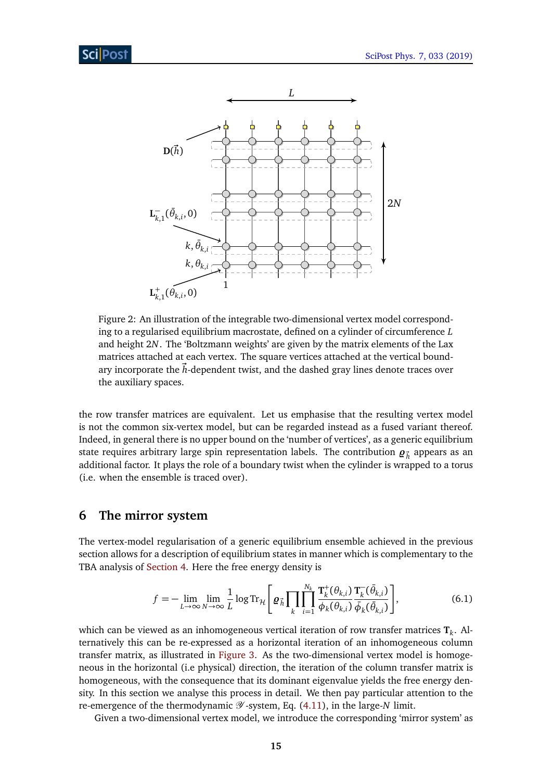<span id="page-14-1"></span>

Figure 2: An illustration of the integrable two-dimensional vertex model corresponding to a regularised equilibrium macrostate, defined on a cylinder of circumference *L* and height 2*N*. The 'Boltzmann weights' are given by the matrix elements of the Lax matrices attached at each vertex. The square vertices attached at the vertical boundary incorporate the *h*-dependent twist, and the dashed gray lines denote traces over the auxiliary spaces.

the row transfer matrices are equivalent. Let us emphasise that the resulting vertex model is not the common six-vertex model, but can be regarded instead as a fused variant thereof. Indeed, in general there is no upper bound on the 'number of vertices', as a generic equilibrium state requires arbitrary large spin representation labels. The contribution  $\boldsymbol{\varrho}_{\vec{h}}$  appears as an additional factor. It plays the role of a boundary twist when the cylinder is wrapped to a torus (i.e. when the ensemble is traced over).

### <span id="page-14-0"></span>**6 The mirror system**

The vertex-model regularisation of a generic equilibrium ensemble achieved in the previous section allows for a description of equilibrium states in manner which is complementary to the TBA analysis of [Section 4.](#page-8-0) Here the free energy density is

<span id="page-14-2"></span>
$$
f = -\lim_{L \to \infty} \lim_{N \to \infty} \frac{1}{L} \log \text{Tr}_{\mathcal{H}} \left[ \varrho_{\vec{h}} \prod_k \prod_{i=1}^{N_k} \frac{\mathbf{T}_k^+(\theta_{k,i})}{\phi_k(\theta_{k,i})} \frac{\mathbf{T}_k^-(\bar{\theta}_{k,i})}{\bar{\phi}_k(\bar{\theta}_{k,i})} \right],
$$
(6.1)

which can be viewed as an inhomogeneous vertical iteration of row transfer matrices **T***<sup>k</sup>* . Alternatively this can be re-expressed as a horizontal iteration of an inhomogeneous column transfer matrix, as illustrated in [Figure 3.](#page-15-0) As the two-dimensional vertex model is homogeneous in the horizontal (i.e physical) direction, the iteration of the column transfer matrix is homogeneous, with the consequence that its dominant eigenvalue yields the free energy density. In this section we analyse this process in detail. We then pay particular attention to the re-emergence of the thermodynamic  $\mathscr Y$ -system, Eq. [\(4.11\)](#page-9-3), in the large-*N* limit.

Given a two-dimensional vertex model, we introduce the corresponding 'mirror system' as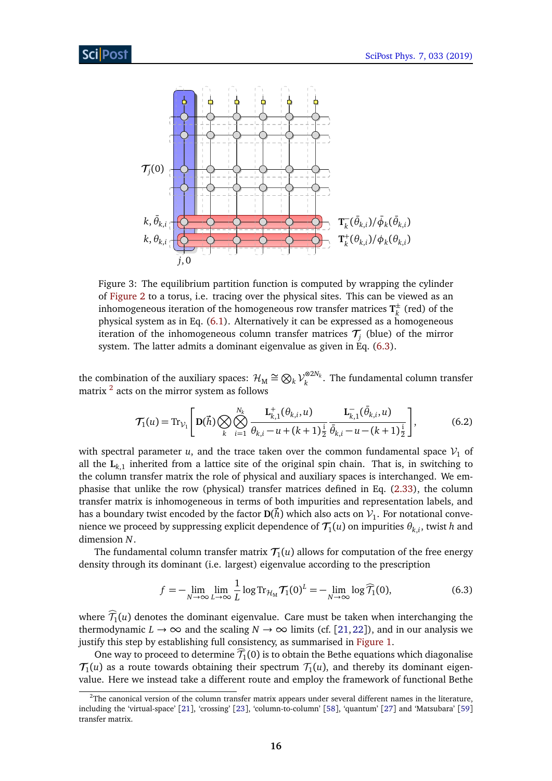<span id="page-15-0"></span>

Figure 3: The equilibrium partition function is computed by wrapping the cylinder of [Figure 2](#page-14-1) to a torus, i.e. tracing over the physical sites. This can be viewed as an inhomogeneous iteration of the homogeneous row transfer matrices  $T^{\pm}_{\nu}$  $\frac{1}{k}$  (red) of the physical system as in Eq. [\(6.1\)](#page-14-2). Alternatively it can be expressed as a homogeneous iteration of the inhomogeneous column transfer matrices  $\mathcal{T}_j$  (blue) of the mirror system. The latter admits a dominant eigenvalue as given in Eq. [\(6.3\)](#page-15-1).

the combination of the auxiliary spaces:  $\mathcal{H}_{\mathrm{M}} \cong \bigotimes_k \mathcal{V}_k^{\otimes 2N_k}$  $\kappa_k^{\infty}$ . The fundamental column transfer matrix  $^2$  $^2$  acts on the mirror system as follows

$$
\mathcal{T}_1(u) = \text{Tr}_{\mathcal{V}_1} \left[ \mathbf{D}(\vec{h}) \bigotimes_k \bigotimes_{i=1}^{N_k} \frac{\mathbf{L}_{k,1}^+(\theta_{k,i}, u)}{\theta_{k,i} - u + (k+1)\frac{1}{2}} \frac{\mathbf{L}_{k,1}^-(\bar{\theta}_{k,i}, u)}{\bar{\theta}_{k,i} - u - (k+1)\frac{1}{2}} \right],
$$
(6.2)

with spectral parameter *u*, and the trace taken over the common fundamental space  $V_1$  of all the  $L_{k,1}$  inherited from a lattice site of the original spin chain. That is, in switching to the column transfer matrix the role of physical and auxiliary spaces is interchanged. We emphasise that unlike the row (physical) transfer matrices defined in Eq. [\(2.33\)](#page-6-3), the column transfer matrix is inhomogeneous in terms of both impurities and representation labels, and has a boundary twist encoded by the factor  $\mathbf{D}(\vec{h})$  which also acts on  $\mathcal{V}_1.$  For notational convenience we proceed by suppressing explicit dependence of  $\mathcal{T}_1(u)$  on impurities  $\theta_{k,i}$ , twist  $h$  and dimension *N*.

The fundamental column transfer matrix  $\mathcal{T}_1(u)$  allows for computation of the free energy density through its dominant (i.e. largest) eigenvalue according to the prescription

<span id="page-15-1"></span>
$$
f = -\lim_{N \to \infty} \lim_{L \to \infty} \frac{1}{L} \log \text{Tr}_{\mathcal{H}_M} \mathcal{T}_1(0)^L = -\lim_{N \to \infty} \log \widehat{\mathcal{T}}_1(0),\tag{6.3}
$$

where  $\mathcal{T}_1(u)$  denotes the dominant eigenvalue. Care must be taken when interchanging the thermodynamic  $L \to \infty$  and the scaling  $N \to \infty$  limits (cf. [[21,](#page-24-1) [22](#page-24-14)]), and in our analysis we justify this step by establishing full consistency, as summarised in [Figure 1.](#page-2-2)

One way to proceed to determine  $\overline{T_1}(0)$  is to obtain the Bethe equations which diagonalise  $\mathcal{T}_1(u)$  as a route towards obtaining their spectrum  $\mathcal{T}_1(u)$ , and thereby its dominant eigenvalue. Here we instead take a different route and employ the framework of functional Bethe

<span id="page-15-2"></span> $2$ The canonical version of the column transfer matrix appears under several different names in the literature, including the 'virtual-space' [[21](#page-24-1)], 'crossing' [[23](#page-24-15)], 'column-to-column' [[58](#page-26-6)], 'quantum' [[27](#page-24-2)] and 'Matsubara' [[59](#page-26-7)] transfer matrix.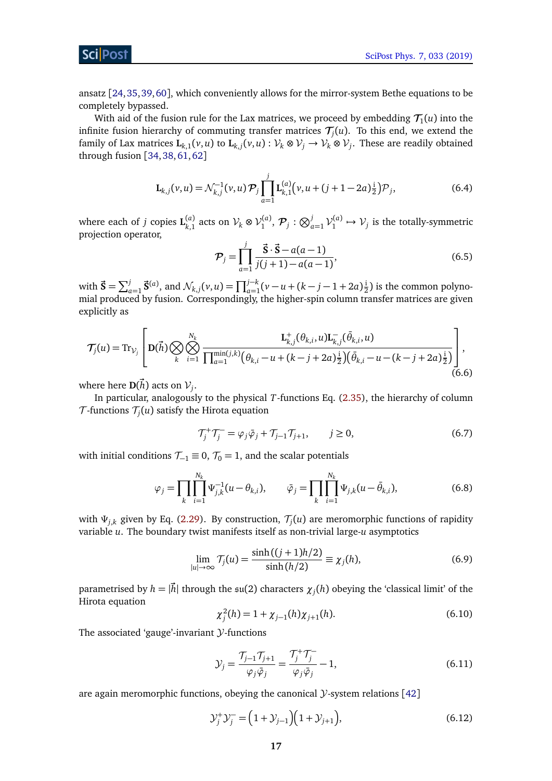ScilPost

ansatz [[24,](#page-24-4)[35,](#page-24-13)[39,](#page-25-12)[60](#page-26-8)], which conveniently allows for the mirror-system Bethe equations to be completely bypassed.

With aid of the fusion rule for the Lax matrices, we proceed by embedding  $\mathcal{T}_1(u)$  into the infinite fusion hierarchy of commuting transfer matrices  $\mathcal{T}_j(u)$ . To this end, we extend the family of Lax matrices  $L_{k,1}(v, u)$  to  $L_{k,j}(v, u)$  :  $\mathcal{V}_k \otimes \mathcal{V}_j \to \mathcal{V}_k \otimes \mathcal{V}_j$ . These are readily obtained through fusion [[34,](#page-24-12)[38,](#page-25-4)[61,](#page-26-9)[62](#page-26-10)]

$$
\mathbf{L}_{k,j}(v,u) = \mathcal{N}_{k,j}^{-1}(v,u)\mathcal{P}_j \prod_{a=1}^{j} \mathbf{L}_{k,1}^{(a)}(v,u+(j+1-2a)\frac{i}{2})\mathcal{P}_j,
$$
(6.4)

where each of *j* copies  $\mathbf{L}_{k,1}^{(a)}$  acts on  $\mathcal{V}_k \otimes \mathcal{V}_1^{(a)}, \mathcal{P}_j : \bigotimes_{a=1}^j \mathcal{V}_1^{(a)} \mapsto \mathcal{V}_j$  is the totally-symmetric projection operator,

$$
\mathcal{P}_j = \prod_{a=1}^j \frac{\vec{S} \cdot \vec{S} - a(a-1)}{j(j+1) - a(a-1)},
$$
\n(6.5)

with  $\vec{S} = \sum_{a=1}^{j} \vec{S}^{(a)}$ , and  $\mathcal{N}_{k,j}(v, u) = \prod_{a=1}^{j-k} (v - u + (k - j - 1 + 2a))$  $(\frac{1}{2})$  is the common polynomial produced by fusion. Correspondingly, the higher-spin column transfer matrices are given explicitly as

<span id="page-16-3"></span>
$$
\mathcal{T}_{j}(u) = \text{Tr}_{\mathcal{V}_{j}}\left[\mathbf{D}(\vec{h})\bigotimes_{k}\bigotimes_{i=1}^{N_{k}}\frac{\mathbf{L}_{k,j}^{+}(\theta_{k,i},u)\mathbf{L}_{k,j}^{-}(\bar{\theta}_{k,i},u)}{\prod_{a=1}^{\min(j,k)}(\theta_{k,i}-u+(k-j+2a)\frac{i}{2})(\bar{\theta}_{k,i}-u-(k-j+2a)\frac{i}{2})}\right],\tag{6.6}
$$

where here  $\mathbf{D}(\vec{h})$  acts on  $\mathcal{V}_j$ .

In particular, analogously to the physical *T*-functions Eq. [\(2.35\)](#page-6-1), the hierarchy of column  ${\cal T}$ -functions  ${\cal T}_{j}(u)$  satisfy the Hirota equation

<span id="page-16-4"></span><span id="page-16-0"></span>
$$
\mathcal{T}_{j}^{+}\mathcal{T}_{j}^{-} = \varphi_{j}\bar{\varphi}_{j} + \mathcal{T}_{j-1}\mathcal{T}_{j+1}, \qquad j \ge 0,
$$
\n(6.7)

with initial conditions  $\mathcal{T}_{-1} \equiv 0$ ,  $\mathcal{T}_0 = 1$ , and the scalar potentials

$$
\varphi_j = \prod_k \prod_{i=1}^{N_k} \Psi_{j,k}^{-1}(u - \theta_{k,i}), \qquad \bar{\varphi}_j = \prod_k \prod_{i=1}^{N_k} \Psi_{j,k}(u - \bar{\theta}_{k,i}), \qquad (6.8)
$$

with  $\Psi_{j,k}$  given by Eq. [\(2.29\)](#page-5-7). By construction,  $\mathcal{T}_j(u)$  are meromorphic functions of rapidity variable *u*. The boundary twist manifests itself as non-trivial large-*u* asymptotics

<span id="page-16-5"></span>
$$
\lim_{|u| \to \infty} \mathcal{T}_j(u) = \frac{\sinh((j+1)h/2)}{\sinh(h/2)} \equiv \chi_j(h),\tag{6.9}
$$

parametrised by  $h = |\vec{h}|$  through the  $\mathfrak{su}(2)$  characters  $\chi_j(h)$  obeying the 'classical limit' of the Hirota equation

<span id="page-16-1"></span>
$$
\chi_j^2(h) = 1 + \chi_{j-1}(h)\chi_{j+1}(h). \tag{6.10}
$$

The associated 'gauge'-invariant  $Y$ -functions

<span id="page-16-2"></span>
$$
\mathcal{Y}_j = \frac{\mathcal{T}_{j-1}\mathcal{T}_{j+1}}{\varphi_j \bar{\varphi}_j} = \frac{\mathcal{T}_j^+ \mathcal{T}_j^-}{\varphi_j \bar{\varphi}_j} - 1,\tag{6.11}
$$

are again meromorphic functions, obeying the canonical  $Y$ -system relations [[42](#page-25-2)]

$$
\mathcal{Y}_j^+ \mathcal{Y}_j^- = (1 + \mathcal{Y}_{j-1})(1 + \mathcal{Y}_{j+1}), \tag{6.12}
$$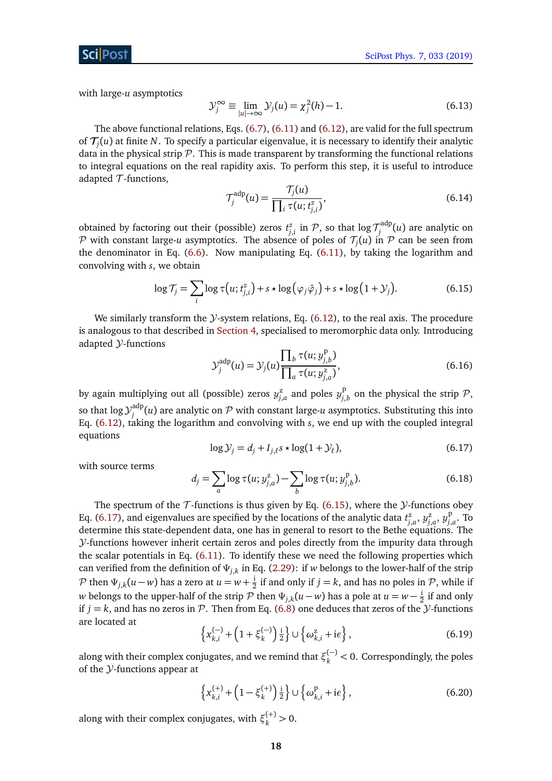

with large-*u* asymptotics

<span id="page-17-4"></span>
$$
\mathcal{Y}_j^{\infty} \equiv \lim_{|u| \to \infty} \mathcal{Y}_j(u) = \chi_j^2(h) - 1.
$$
 (6.13)

The above functional relations, Eqs. [\(6.7\)](#page-16-0), [\(6.11\)](#page-16-1) and [\(6.12\)](#page-16-2), are valid for the full spectrum of T*<sup>j</sup>* (*u*) at finite *N*. To specify a particular eigenvalue, it is necessary to identify their analytic data in the physical strip  $\mathcal P$ . This is made transparent by transforming the functional relations to integral equations on the real rapidity axis. To perform this step, it is useful to introduce adapted  $\mathcal T$ -functions,

$$
\mathcal{T}_j^{\text{adp}}(u) = \frac{\mathcal{T}_j(u)}{\prod_i \tau(u; t_{j,i}^z)},\tag{6.14}
$$

obtained by factoring out their (possible) zeros  $t_{j,i}^z$  in  $\mathcal{P},$  so that  $\log \mathcal{T}^{\text{adp}}_j$ *j* (*u*) are analytic on  $P$  with constant large-*u* asymptotics. The absence of poles of  $\mathcal{T}_j(u)$  in  $P$  can be seen from the denominator in Eq. [\(6.6\)](#page-16-3). Now manipulating Eq. [\(6.11\)](#page-16-1), by taking the logarithm and convolving with *s*, we obtain

<span id="page-17-0"></span>
$$
\log \mathcal{T}_j = \sum_i \log \tau(u; t_{j,i}^z) + s \star \log(\varphi_j \bar{\varphi}_j) + s \star \log(1 + \mathcal{Y}_j). \tag{6.15}
$$

We similarly transform the  $\mathcal{Y}$ -system relations, Eq. [\(6.12\)](#page-16-2), to the real axis. The procedure is analogous to that described in [Section 4,](#page-8-0) specialised to meromorphic data only. Introducing adapted Y-functions

$$
\mathcal{Y}_j^{\text{adp}}(u) = \mathcal{Y}_j(u) \frac{\prod_b \tau(u; y_{j,b}^p)}{\prod_a \tau(u; y_{j,a}^z)},
$$
\n(6.16)

by again multiplying out all (possible) zeros  $y_{j,a}^{\mathsf{z}}$  and poles  $y_{j,a}^{\mathsf{p}}$  $\int_{j,b}^p$  on the physical the strip  $\mathcal{P},$ so that  $\log\mathcal{Y}^{\text{adp}}_i$  $j_j^{\mathrm{aup}}(u)$  are analytic on  ${\cal P}$  with constant large- $u$  asymptotics. Substituting this into Eq. [\(6.12\)](#page-16-2), taking the logarithm and convolving with *s*, we end up with the coupled integral equations

$$
\log \mathcal{Y}_j = d_j + I_{j,\ell} s \star \log(1 + \mathcal{Y}_\ell),\tag{6.17}
$$

<span id="page-17-1"></span>with source terms

<span id="page-17-2"></span>
$$
d_j = \sum_{a} \log \tau(u; y_{j,a}^z) - \sum_{b} \log \tau(u; y_{j,b}^p). \tag{6.18}
$$

The spectrum of the  $\mathcal T$ -functions is thus given by Eq. [\(6.15\)](#page-17-0), where the  $\mathcal Y$ -functions obey Eq. [\(6.17\)](#page-17-1), and eigenvalues are specified by the locations of the analytic data  $t_{j,a}^z$ ,  $y_{j,a}^z$ ,  $y_{j}^p$ *j*,*a* . To determine this state-dependent data, one has in general to resort to the Bethe equations. The Y-functions however inherit certain zeros and poles directly from the impurity data through the scalar potentials in Eq. [\(6.11\)](#page-16-1). To identify these we need the following properties which can verified from the definition of *Ψj*,*<sup>k</sup>* in Eq. [\(2.29\)](#page-5-7): if *w* belongs to the lower-half of the strip  $\mathcal{P}$  then  $\Psi_{j,k}(u-w)$  has a zero at  $u=w+\frac{1}{2}$  $\frac{1}{2}$  if and only if  $j = k$ , and has no poles in  $P$ , while if *w* belongs to the upper-half of the strip  ${\cal P}$  then  $\Psi_{j,k}(u-w)$  has a pole at  $u=w-\frac{{\rm i}}{2}$  $\frac{1}{2}$  if and only if  $j = k$ , and has no zeros in P. Then from Eq. [\(6.8\)](#page-16-4) one deduces that zeros of the *y*-functions are located at

<span id="page-17-3"></span>
$$
\left\{x_{k,i}^{(-)} + \left(1 + \xi_k^{(-)}\right)\frac{i}{2}\right\} \cup \left\{\omega_{k,i}^z + i\epsilon\right\},\tag{6.19}
$$

along with their complex conjugates, and we remind that  $\xi_k^{(-)} < 0$ . Correspondingly, the poles of the  $Y$ -functions appear at

$$
\left\{x_{k,i}^{(+)} + \left(1 - \xi_k^{(+)}\right)\frac{i}{2}\right\} \cup \left\{\omega_{k,i}^{\mathrm{p}} + \mathrm{i}\epsilon\right\},\tag{6.20}
$$

along with their complex conjugates, with  $\xi_k^{(+)} > 0$ .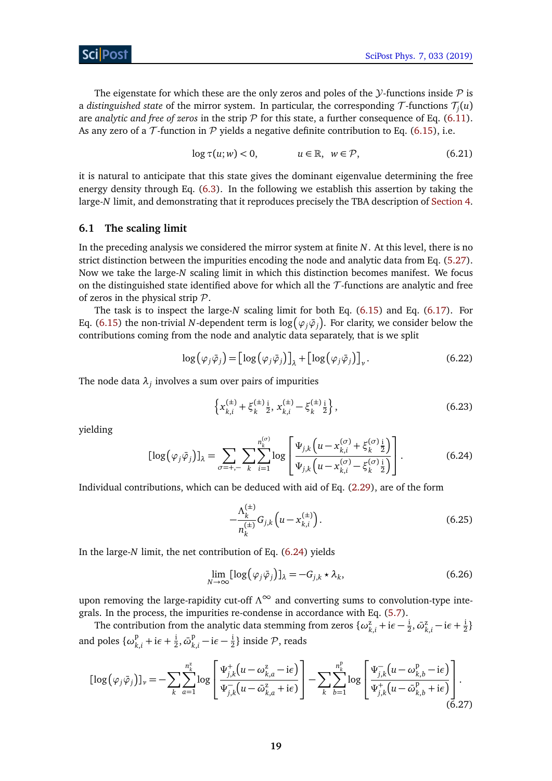The eigenstate for which these are the only zeros and poles of the  $\mathcal{Y}$ -functions inside  $\mathcal{P}$  is a *distinguished state* of the mirror system. In particular, the corresponding  $\mathcal T$ -functions  $\mathcal T_j(u)$ are *analytic and free of zeros* in the strip  $P$  for this state, a further consequence of Eq. [\(6.11\)](#page-16-1). As any zero of a  $\mathcal T$ -function in  $\mathcal P$  yields a negative definite contribution to Eq. [\(6.15\)](#page-17-0), i.e.

$$
\log \tau(u; w) < 0, \qquad u \in \mathbb{R}, \ w \in \mathcal{P}, \tag{6.21}
$$

it is natural to anticipate that this state gives the dominant eigenvalue determining the free energy density through Eq. [\(6.3\)](#page-15-1). In the following we establish this assertion by taking the large-*N* limit, and demonstrating that it reproduces precisely the TBA description of [Section 4.](#page-8-0)

### <span id="page-18-0"></span>**6.1 The scaling limit**

In the preceding analysis we considered the mirror system at finite *N*. At this level, there is no strict distinction between the impurities encoding the node and analytic data from Eq. [\(5.27\)](#page-13-1). Now we take the large-*N* scaling limit in which this distinction becomes manifest. We focus on the distinguished state identified above for which all the  $\mathcal T$ -functions are analytic and free of zeros in the physical strip  $P$ .

The task is to inspect the large-*N* scaling limit for both Eq. [\(6.15\)](#page-17-0) and Eq. [\(6.17\)](#page-17-1). For Eq. [\(6.15\)](#page-17-0) the non-trivial *N*-dependent term is  $\log \big(\varphi_j \bar{\varphi}_j\big)$ . For clarity, we consider below the contributions coming from the node and analytic data separately, that is we split

$$
\log(\varphi_j \bar{\varphi}_j) = \left[\log(\varphi_j \bar{\varphi}_j)\right]_{\lambda} + \left[\log(\varphi_j \bar{\varphi}_j)\right]_{\nu}.
$$
 (6.22)

The node data  $\lambda_j$  involves a sum over pairs of impurities

$$
\left\{ x_{k,i}^{(\pm)} + \xi_k^{(\pm)} \frac{i}{2}, \, x_{k,i}^{(\pm)} - \xi_k^{(\pm)} \frac{i}{2} \right\},\tag{6.23}
$$

yielding

<span id="page-18-1"></span>
$$
[\log(\varphi_j \bar{\varphi}_j)]_{\lambda} = \sum_{\sigma = +, -} \sum_{k} \sum_{i=1}^{n_k^{(\sigma)}} \log \left[ \frac{\Psi_{j,k} \left( u - x_{k,i}^{(\sigma)} + \xi_k^{(\sigma)} \frac{i}{2} \right)}{\Psi_{j,k} \left( u - x_{k,i}^{(\sigma)} - \xi_k^{(\sigma)} \frac{i}{2} \right)} \right]. \tag{6.24}
$$

Individual contributions, which can be deduced with aid of Eq. [\(2.29\)](#page-5-7), are of the form

$$
-\frac{\Lambda_k^{(\pm)}}{n_k^{(\pm)}}G_{j,k}\left(u-x_{k,i}^{(\pm)}\right).
$$
\n(6.25)

In the large-*N* limit, the net contribution of Eq. [\(6.24\)](#page-18-1) yields

$$
\lim_{N \to \infty} [\log(\varphi_j \bar{\varphi}_j)]_{\lambda} = -G_{j,k} \star \lambda_k,
$$
\n(6.26)

upon removing the large-rapidity cut-off *Λ*<sup>∞</sup> and converting sums to convolution-type integrals. In the process, the impurities re-condense in accordance with Eq. [\(5.7\)](#page-11-2).

The contribution from the analytic data stemming from zeros  $\{\omega_{k,i}^z + i\epsilon - \frac{i}{2}\}$  $\frac{1}{2}$ ,  $\bar{\omega}_k^{\rm z}$  $\frac{z}{k,i} - i\epsilon + \frac{i}{2}$  $\frac{1}{2}$ and poles  $\{\omega_k^{\mathrm{p}}\}$  $k$ <sub>,*i*</sub> + i*ε* +  $\frac{1}{2}$  $\frac{1}{2}$ ,  $\bar{\omega}_k^{\mathrm{p}}$  $\frac{p}{k,i} - i\epsilon - \frac{i}{2}$  $\frac{1}{2}$ } inside  $P$ , reads

$$
[\log(\varphi_j \bar{\varphi}_j)]_{\nu} = -\sum_{k} \sum_{a=1}^{n_k^z} \log \left[ \frac{\Psi_{j,k}^+(u - \omega_{k,a}^z - i\epsilon)}{\Psi_{j,k}^-(u - \bar{\omega}_{k,a}^z + i\epsilon)} \right] - \sum_{k} \sum_{b=1}^{n_k^p} \log \left[ \frac{\Psi_{j,k}^-(u - \omega_{k,b}^p - i\epsilon)}{\Psi_{j,k}^+(u - \bar{\omega}_{k,b}^p + i\epsilon)} \right].
$$
\n(6.27)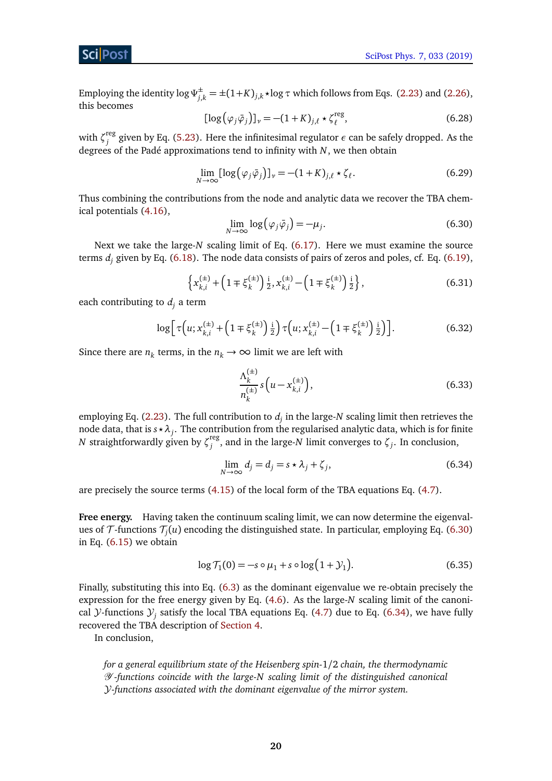Employing the identity  $\log \Psi_{j,k}^{\pm} = \pm (1+K)_{j,k} \star \log \tau$  which follows from Eqs. [\(2.23\)](#page-5-6) and [\(2.26\)](#page-5-2), this becomes

$$
[\log(\varphi_j \bar{\varphi}_j)]_{\nu} = -(1 + K)_{j,\ell} \star \zeta_{\ell}^{\text{reg}},\tag{6.28}
$$

with  $\zeta_i^{\text{reg}}$ *j* given by Eq. [\(5.23\)](#page-13-2). Here the infinitesimal regulator *ε* can be safely dropped. As the degrees of the Padé approximations tend to infinity with *N*, we then obtain

<span id="page-19-0"></span>
$$
\lim_{N \to \infty} [\log(\varphi_j \bar{\varphi}_j)]_{\nu} = -(1 + K)_{j,\ell} \star \zeta_{\ell}.
$$
\n(6.29)

Thus combining the contributions from the node and analytic data we recover the TBA chemical potentials [\(4.16\)](#page-9-4),

$$
\lim_{N \to \infty} \log(\varphi_j \bar{\varphi}_j) = -\mu_j. \tag{6.30}
$$

Next we take the large-*N* scaling limit of Eq. [\(6.17\)](#page-17-1). Here we must examine the source terms d*<sup>j</sup>* given by Eq. [\(6.18\)](#page-17-2). The node data consists of pairs of zeros and poles, cf. Eq. [\(6.19\)](#page-17-3),

$$
\left\{ x_{k,i}^{(\pm)} + \left( 1 \mp \xi_k^{(\pm)} \right) \frac{\mathrm{i}}{2}, x_{k,i}^{(\pm)} - \left( 1 \mp \xi_k^{(\pm)} \right) \frac{\mathrm{i}}{2} \right\},\tag{6.31}
$$

each contributing to  $d_i$  a term

$$
\log\left[\tau\left(u; x_{k,i}^{(\pm)} + \left(1 \mp \xi_k^{(\pm)}\right) \frac{1}{2}\right) \tau\left(u; x_{k,i}^{(\pm)} - \left(1 \mp \xi_k^{(\pm)}\right) \frac{1}{2}\right)\right].\tag{6.32}
$$

Since there are  $n_k$  terms, in the  $n_k \to \infty$  limit we are left with

<span id="page-19-1"></span>
$$
\frac{\Lambda_k^{(\pm)}}{n_k^{(\pm)}} s\left(u - x_{k,i}^{(\pm)}\right),\tag{6.33}
$$

employing Eq. [\(2.23\)](#page-5-6). The full contribution to  $d_j$  in the large-*N* scaling limit then retrieves the node data, that is  $s\!\star\!\lambda_j.$  The contribution from the regularised analytic data, which is for finite *N* straightforwardly given by ζ<sup>reg</sup> *j* , and in the large-*N* limit converges to *ζ<sup>j</sup>* . In conclusion,

$$
\lim_{N \to \infty} d_j = d_j = s \star \lambda_j + \zeta_j,\tag{6.34}
$$

are precisely the source terms [\(4.15\)](#page-9-5) of the local form of the TBA equations Eq. [\(4.7\)](#page-9-0).

**Free energy.** Having taken the continuum scaling limit, we can now determine the eigenvalues of  $\mathcal T$ -functions  $\mathcal T_j(u)$  encoding the distinguished state. In particular, employing Eq. [\(6.30\)](#page-19-0) in Eq. [\(6.15\)](#page-17-0) we obtain

$$
\log \mathcal{T}_1(0) = -s \circ \mu_1 + s \circ \log(1 + \mathcal{Y}_1). \tag{6.35}
$$

Finally, substituting this into Eq. [\(6.3\)](#page-15-1) as the dominant eigenvalue we re-obtain precisely the expression for the free energy given by Eq. [\(4.6\)](#page-8-4). As the large-*N* scaling limit of the canonical *Y*-functions  $Y_j$  satisfy the local TBA equations Eq. [\(4.7\)](#page-9-0) due to Eq. [\(6.34\)](#page-19-1), we have fully recovered the TBA description of [Section 4.](#page-8-0)

In conclusion,

*for a general equilibrium state of the Heisenberg spin-*1*/*2 *chain, the thermodynamic* Y *-functions coincide with the large-N scaling limit of the distinguished canonical* Y*-functions associated with the dominant eigenvalue of the mirror system.*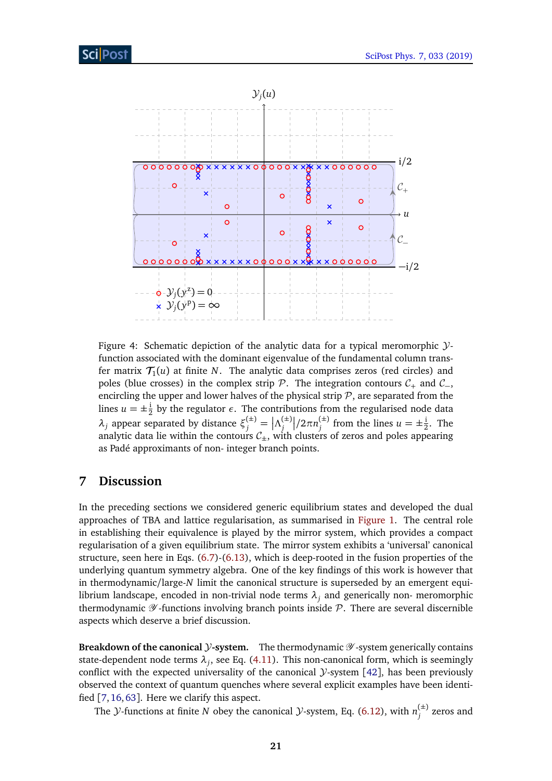

Figure 4: Schematic depiction of the analytic data for a typical meromorphic  $\mathcal{Y}$ function associated with the dominant eigenvalue of the fundamental column transfer matrix  $\mathcal{T}_1(u)$  at finite N. The analytic data comprises zeros (red circles) and poles (blue crosses) in the complex strip  $\mathcal{P}$ . The integration contours  $\mathcal{C}_+$  and  $\mathcal{C}_-$ , encircling the upper and lower halves of the physical strip  $P$ , are separated from the lines  $u = \pm \frac{1}{2}$  $\frac{1}{2}$  by the regulator  $\epsilon$ . The contributions from the regularised node data  $λ_j$  appear separated by distance  $ξ_j^{(\pm)} = |Λ_j^{(\pm)}|$ *j /*2*πn* (±)  $j^{(\pm)}$  from the lines  $u = \pm \frac{1}{2}$  $\frac{1}{2}$ . The analytic data lie within the contours  $C_{\pm}$ , with clusters of zeros and poles appearing as Padé approximants of non- integer branch points.

### <span id="page-20-0"></span>**7 Discussion**

In the preceding sections we considered generic equilibrium states and developed the dual approaches of TBA and lattice regularisation, as summarised in [Figure 1.](#page-2-2) The central role in establishing their equivalence is played by the mirror system, which provides a compact regularisation of a given equilibrium state. The mirror system exhibits a 'universal' canonical structure, seen here in Eqs. [\(6.7\)](#page-16-0)-[\(6.13\)](#page-17-4), which is deep-rooted in the fusion properties of the underlying quantum symmetry algebra. One of the key findings of this work is however that in thermodynamic/large-*N* limit the canonical structure is superseded by an emergent equilibrium landscape, encoded in non-trivial node terms *λ<sup>j</sup>* and generically non- meromorphic thermodynamic  $\mathscr Y$ -functions involving branch points inside  $\mathcal P$ . There are several discernible aspects which deserve a brief discussion.

**Breakdown of the canonical** *Y***-system.** The thermodynamic  $\mathscr Y$ -system generically contains state-dependent node terms *λ<sup>j</sup>* , see Eq. [\(4.11\)](#page-9-3). This non-canonical form, which is seemingly conflict with the expected universality of the canonical  $\mathcal{Y}$ -system [[42](#page-25-2)], has been previously observed the context of quantum quenches where several explicit examples have been identified [[7,](#page-23-2)[16,](#page-23-11)[63](#page-26-11)]. Here we clarify this aspect.

The *Y*-functions at finite *N* obey the canonical *Y*-system, Eq. [\(6.12\)](#page-16-2), with  $n_i^{(\pm)}$  $j$ <sup> $($  $\pm$  $)$  zeros and</sup>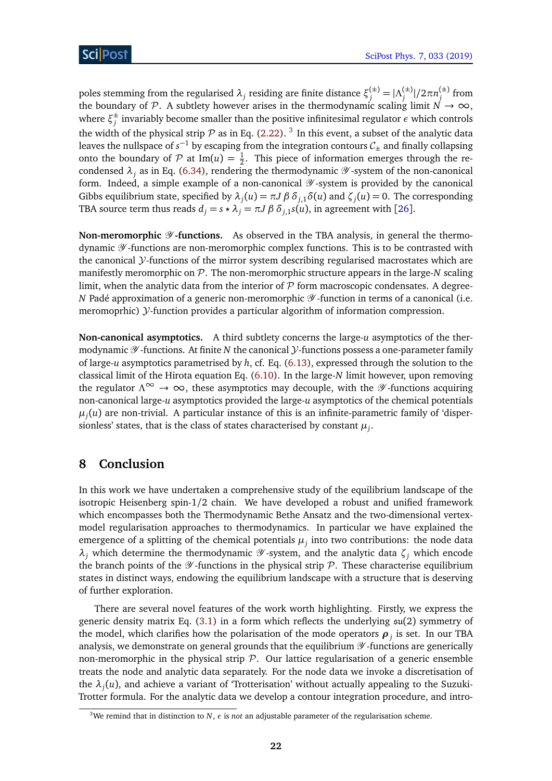poles stemming from the regularised  $\lambda_j$  residing are finite distance  $\xi_j^{(\pm)} = |Λ_j^{(\pm)}\rangle$ *j* |*/*2*πn* (±) *j* from the boundary of P. A subtlety however arises in the thermodynamic scaling limit  $N \to \infty$ , where  $\xi_i^{\pm}$  $_j^\pm$  invariably become smaller than the positive infinitesimal regulator  $\epsilon$  which controls the width of the physical strip  $P$  as in Eq. [\(2.22\)](#page-5-1). <sup>[3](#page-21-1)</sup> In this event, a subset of the analytic data leaves the nullspace of  $s^{-1}$  by escaping from the integration contours  $\mathcal{C}_\pm$  and finally collapsing onto the boundary of  $P$  at Im(*u*) =  $\frac{1}{2}$ . This piece of information emerges through the recondensed  $\lambda_i$  as in Eq. [\(6.34\)](#page-19-1), rendering the thermodynamic  $\mathscr Y$ -system of the non-canonical form. Indeed, a simple example of a non-canonical  $\mathscr Y$ -system is provided by the canonical Gibbs equilibrium state, specified by  $\lambda_j(u) = \pi J \beta \delta_{j,1} \delta(u)$  and  $\zeta_j(u) = 0$ . The corresponding TBA source term thus reads  $d_i = s \star \lambda_i = \pi J \beta \delta_{i,1} s(u)$ , in agreement with [[26](#page-24-3)].

**Non-meromorphic**  $\mathscr Y$ **-functions.** As observed in the TBA analysis, in general the thermodynamic  $\mathscr Y$ -functions are non-meromorphic complex functions. This is to be contrasted with the canonical  $\mathcal Y$ -functions of the mirror system describing regularised macrostates which are manifestly meromorphic on P. The non-meromorphic structure appears in the large-*N* scaling limit, when the analytic data from the interior of  $P$  form macroscopic condensates. A degree-*N* Padé approximation of a generic non-meromorphic  $\mathscr Y$ -function in terms of a canonical (i.e. meromoprhic) *y*-function provides a particular algorithm of information compression.

**Non-canonical asymptotics.** A third subtlety concerns the large-*u* asymptotics of the thermodynamic  $\mathscr Y$ -functions. At finite *N* the canonical *y*-functions possess a one-parameter family of large-*u* asymptotics parametrised by *h*, cf. Eq. [\(6.13\)](#page-17-4), expressed through the solution to the classical limit of the Hirota equation Eq. [\(6.10\)](#page-16-5). In the large-*N* limit however, upon removing the regulator  $\Lambda^{\infty} \to \infty$ , these asymptotics may decouple, with the *V*-functions acquiring non-canonical large-*u* asymptotics provided the large-*u* asymptotics of the chemical potentials  $\mu_j(u)$  are non-trivial. A particular instance of this is an infinite-parametric family of 'dispersionless' states, that is the class of states characterised by constant  $\mu_j.$ 

# <span id="page-21-0"></span>**8 Conclusion**

In this work we have undertaken a comprehensive study of the equilibrium landscape of the isotropic Heisenberg spin-1*/*2 chain. We have developed a robust and unified framework which encompasses both the Thermodynamic Bethe Ansatz and the two-dimensional vertexmodel regularisation approaches to thermodynamics. In particular we have explained the emergence of a splitting of the chemical potentials  $\mu_j$  into two contributions: the node data  $λ$ <sup>*j*</sup> which determine the thermodynamic  $Y$ -system, and the analytic data  $ζ$ <sup>*j*</sup> which encode the branch points of the  $\mathscr Y$ -functions in the physical strip  $\mathscr P$ . These characterise equilibrium states in distinct ways, endowing the equilibrium landscape with a structure that is deserving of further exploration.

There are several novel features of the work worth highlighting. Firstly, we express the generic density matrix Eq. [\(3.1\)](#page-7-1) in a form which reflects the underlying su(2) symmetry of the model, which clarifies how the polarisation of the mode operators  $\boldsymbol{\rho}_j$  is set. In our TBA analysis, we demonstrate on general grounds that the equilibrium  $\mathscr Y$ -functions are generically non-meromorphic in the physical strip  $\mathcal P$ . Our lattice regularisation of a generic ensemble treats the node and analytic data separately. For the node data we invoke a discretisation of the *λ<sup>j</sup>* (*u*), and achieve a variant of 'Trotterisation' without actually appealing to the Suzuki-Trotter formula. For the analytic data we develop a contour integration procedure, and intro-

<span id="page-21-1"></span><sup>&</sup>lt;sup>3</sup>We remind that in distinction to *N*,  $\epsilon$  is *not* an adjustable parameter of the regularisation scheme.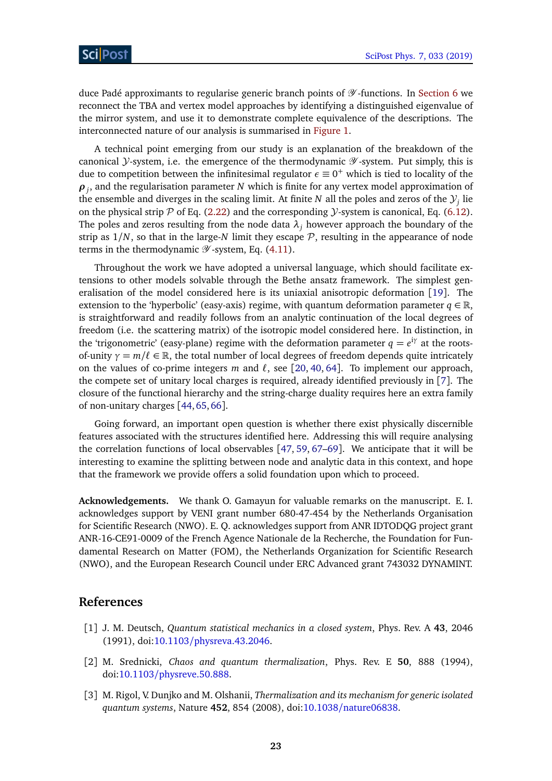duce Padé approximants to regularise generic branch points of  $\mathscr Y$ -functions. In [Section 6](#page-14-0) we reconnect the TBA and vertex model approaches by identifying a distinguished eigenvalue of the mirror system, and use it to demonstrate complete equivalence of the descriptions. The interconnected nature of our analysis is summarised in [Figure 1.](#page-2-2)

A technical point emerging from our study is an explanation of the breakdown of the canonical  $\mathcal Y$ -system, i.e. the emergence of the thermodynamic  $\mathscr Y$ -system. Put simply, this is due to competition between the infinitesimal regulator  $\epsilon \equiv 0^+$  which is tied to locality of the *ρj* , and the regularisation parameter *N* which is finite for any vertex model approximation of the ensemble and diverges in the scaling limit. At finite  $N$  all the poles and zeros of the  $\mathcal{Y}_j$  lie on the physical strip  $P$  of Eq. [\(2.22\)](#page-5-1) and the corresponding  $\mathcal{Y}$ -system is canonical, Eq. [\(6.12\)](#page-16-2). The poles and zeros resulting from the node data  $\lambda_i$  however approach the boundary of the strip as  $1/N$ , so that in the large-*N* limit they escape  $P$ , resulting in the appearance of node terms in the thermodynamic  $\mathscr Y$ -system, Eq. [\(4.11\)](#page-9-3).

Throughout the work we have adopted a universal language, which should facilitate extensions to other models solvable through the Bethe ansatz framework. The simplest generalisation of the model considered here is its uniaxial anisotropic deformation [[19](#page-24-7)]. The extension to the 'hyperbolic' (easy-axis) regime, with quantum deformation parameter  $q \in \mathbb{R}$ , is straightforward and readily follows from an analytic continuation of the local degrees of freedom (i.e. the scattering matrix) of the isotropic model considered here. In distinction, in the 'trigonometric' (easy-plane) regime with the deformation parameter  $q = e^{i\gamma}$  at the rootsof-unity  $\gamma = m/\ell \in \mathbb{R}$ , the total number of local degrees of freedom depends quite intricately on the values of co-prime integers  $m$  and  $\ell$ , see [[20,](#page-24-0) [40,](#page-25-5) [64](#page-26-12)]. To implement our approach, the compete set of unitary local charges is required, already identified previously in [[7](#page-23-2)]. The closure of the functional hierarchy and the string-charge duality requires here an extra family of non-unitary charges [[44,](#page-25-6)[65,](#page-26-13)[66](#page-26-14)].

Going forward, an important open question is whether there exist physically discernible features associated with the structures identified here. Addressing this will require analysing the correlation functions of local observables [[47,](#page-25-13) [59,](#page-26-7) [67](#page-27-0)[–69](#page-27-1)]. We anticipate that it will be interesting to examine the splitting between node and analytic data in this context, and hope that the framework we provide offers a solid foundation upon which to proceed.

**Acknowledgements.** We thank O. Gamayun for valuable remarks on the manuscript. E. I. acknowledges support by VENI grant number 680-47-454 by the Netherlands Organisation for Scientific Research (NWO). E. Q. acknowledges support from ANR IDTODQG project grant ANR-16-CE91-0009 of the French Agence Nationale de la Recherche, the Foundation for Fundamental Research on Matter (FOM), the Netherlands Organization for Scientific Research (NWO), and the European Research Council under ERC Advanced grant 743032 DYNAMINT.

### **References**

- <span id="page-22-0"></span>[1] J. M. Deutsch, *Quantum statistical mechanics in a closed system*, Phys. Rev. A **43**, 2046 (1991), doi:10.1103/[physreva.43.2046.](http://dx.doi.org/10.1103/physreva.43.2046)
- [2] M. Srednicki, *Chaos and quantum thermalization*, Phys. Rev. E **50**, 888 (1994), doi:10.1103/[physreve.50.888.](http://dx.doi.org/10.1103/physreve.50.888)
- <span id="page-22-1"></span>[3] M. Rigol, V. Dunjko and M. Olshanii, *Thermalization and its mechanism for generic isolated quantum systems*, Nature **452**, 854 (2008), doi:10.1038/[nature06838.](http://dx.doi.org/10.1038/nature06838)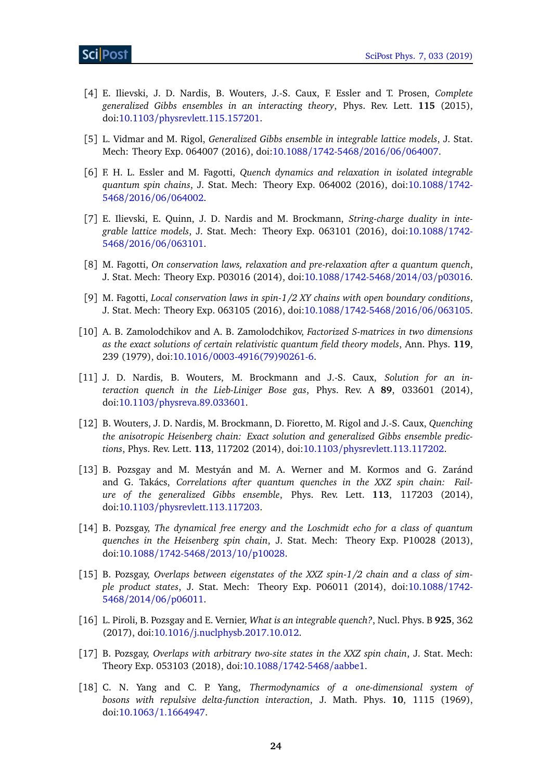- <span id="page-23-0"></span>[4] E. Ilievski, J. D. Nardis, B. Wouters, J.-S. Caux, F. Essler and T. Prosen, *Complete generalized Gibbs ensembles in an interacting theory*, Phys. Rev. Lett. **115** (2015), doi:10.1103/[physrevlett.115.157201.](http://dx.doi.org/10.1103/physrevlett.115.157201)
- [5] L. Vidmar and M. Rigol, *Generalized Gibbs ensemble in integrable lattice models*, J. Stat. Mech: Theory Exp. 064007 (2016), doi:10.1088/[1742-5468](http://dx.doi.org/10.1088/1742-5468/2016/06/064007)/2016/06/064007.
- <span id="page-23-1"></span>[6] F. H. L. Essler and M. Fagotti, *Quench dynamics and relaxation in isolated integrable quantum spin chains*, J. Stat. Mech: Theory Exp. 064002 (2016), doi[:10.1088](http://dx.doi.org/10.1088/1742-5468/2016/06/064002)/1742- 5468/2016/06/[064002.](http://dx.doi.org/10.1088/1742-5468/2016/06/064002)
- <span id="page-23-2"></span>[7] E. Ilievski, E. Quinn, J. D. Nardis and M. Brockmann, *String-charge duality in integrable lattice models*, J. Stat. Mech: Theory Exp. 063101 (2016), doi[:10.1088](http://dx.doi.org/10.1088/1742-5468/2016/06/063101)/1742- 5468/2016/06/[063101.](http://dx.doi.org/10.1088/1742-5468/2016/06/063101)
- <span id="page-23-3"></span>[8] M. Fagotti, *On conservation laws, relaxation and pre-relaxation after a quantum quench*, J. Stat. Mech: Theory Exp. P03016 (2014), doi:10.1088/[1742-5468](http://dx.doi.org/10.1088/1742-5468/2014/03/p03016)/2014/03/p03016.
- <span id="page-23-4"></span>[9] M. Fagotti, *Local conservation laws in spin-1/2 XY chains with open boundary conditions*, J. Stat. Mech: Theory Exp. 063105 (2016), doi:10.1088/[1742-5468](http://dx.doi.org/10.1088/1742-5468/2016/06/063105)/2016/06/063105.
- <span id="page-23-5"></span>[10] A. B. Zamolodchikov and A. B. Zamolodchikov, *Factorized S-matrices in two dimensions as the exact solutions of certain relativistic quantum field theory models*, Ann. Phys. **119**, 239 (1979), doi:10.1016/[0003-4916\(79\)90261-6.](http://dx.doi.org/10.1016/0003-4916(79)90261-6)
- <span id="page-23-6"></span>[11] J. D. Nardis, B. Wouters, M. Brockmann and J.-S. Caux, *Solution for an interaction quench in the Lieb-Liniger Bose gas*, Phys. Rev. A **89**, 033601 (2014), doi:10.1103/[physreva.89.033601.](http://dx.doi.org/10.1103/physreva.89.033601)
- [12] B. Wouters, J. D. Nardis, M. Brockmann, D. Fioretto, M. Rigol and J.-S. Caux, *Quenching the anisotropic Heisenberg chain: Exact solution and generalized Gibbs ensemble predictions*, Phys. Rev. Lett. **113**, 117202 (2014), doi:10.1103/[physrevlett.113.117202.](http://dx.doi.org/10.1103/physrevlett.113.117202)
- <span id="page-23-7"></span>[13] B. Pozsgay and M. Mestyán and M. A. Werner and M. Kormos and G. Zaránd and G. Takács, *Correlations after quantum quenches in the XXZ spin chain: Failure of the generalized Gibbs ensemble*, Phys. Rev. Lett. **113**, 117203 (2014), doi:10.1103/[physrevlett.113.117203.](http://dx.doi.org/10.1103/physrevlett.113.117203)
- <span id="page-23-8"></span>[14] B. Pozsgay, *The dynamical free energy and the Loschmidt echo for a class of quantum quenches in the Heisenberg spin chain*, J. Stat. Mech: Theory Exp. P10028 (2013), doi:10.1088/[1742-5468](http://dx.doi.org/10.1088/1742-5468/2013/10/p10028)/2013/10/p10028.
- [15] B. Pozsgay, *Overlaps between eigenstates of the XXZ spin-1/2 chain and a class of simple product states*, J. Stat. Mech: Theory Exp. P06011 (2014), doi[:10.1088](http://dx.doi.org/10.1088/1742-5468/2014/06/p06011)/1742- 5468/2014/06/[p06011.](http://dx.doi.org/10.1088/1742-5468/2014/06/p06011)
- <span id="page-23-11"></span>[16] L. Piroli, B. Pozsgay and E. Vernier, *What is an integrable quench?*, Nucl. Phys. B **925**, 362 (2017), doi:10.1016/[j.nuclphysb.2017.10.012.](http://dx.doi.org/10.1016/j.nuclphysb.2017.10.012)
- <span id="page-23-9"></span>[17] B. Pozsgay, *Overlaps with arbitrary two-site states in the XXZ spin chain*, J. Stat. Mech: Theory Exp. 053103 (2018), doi:10.1088/[1742-5468](http://dx.doi.org/10.1088/1742-5468/aabbe1)/aabbe1.
- <span id="page-23-10"></span>[18] C. N. Yang and C. P. Yang, *Thermodynamics of a one-dimensional system of bosons with repulsive delta-function interaction*, J. Math. Phys. **10**, 1115 (1969), doi:10.1063/[1.1664947.](http://dx.doi.org/10.1063/1.1664947)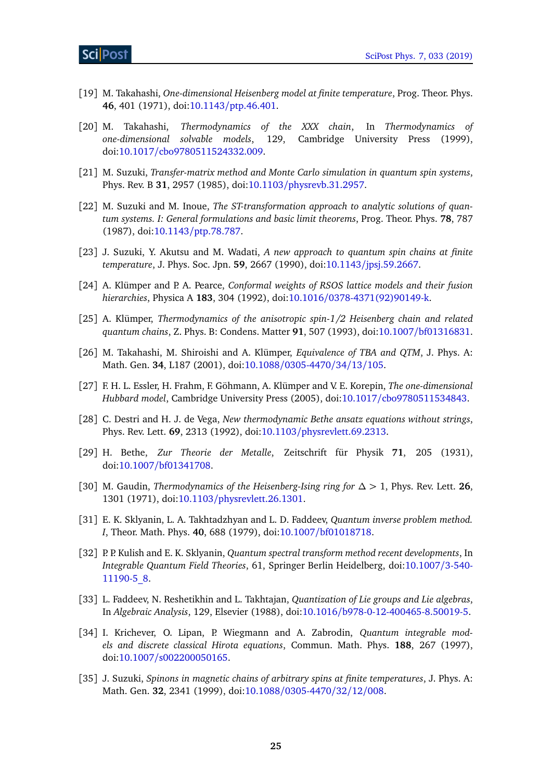- <span id="page-24-7"></span>[19] M. Takahashi, *One-dimensional Heisenberg model at finite temperature*, Prog. Theor. Phys. **46**, 401 (1971), doi:10.1143/[ptp.46.401.](http://dx.doi.org/10.1143/ptp.46.401)
- <span id="page-24-0"></span>[20] M. Takahashi, *Thermodynamics of the XXX chain*, In *Thermodynamics of one-dimensional solvable models*, 129, Cambridge University Press (1999), doi:10.1017/[cbo9780511524332.009.](http://dx.doi.org/10.1017/cbo9780511524332.009)
- <span id="page-24-1"></span>[21] M. Suzuki, *Transfer-matrix method and Monte Carlo simulation in quantum spin systems*, Phys. Rev. B **31**, 2957 (1985), doi:10.1103/[physrevb.31.2957.](http://dx.doi.org/10.1103/physrevb.31.2957)
- <span id="page-24-14"></span>[22] M. Suzuki and M. Inoue, *The ST-transformation approach to analytic solutions of quantum systems. I: General formulations and basic limit theorems*, Prog. Theor. Phys. **78**, 787 (1987), doi:10.1143/[ptp.78.787.](http://dx.doi.org/10.1143/ptp.78.787)
- <span id="page-24-15"></span>[23] J. Suzuki, Y. Akutsu and M. Wadati, *A new approach to quantum spin chains at finite temperature*, J. Phys. Soc. Jpn. **59**, 2667 (1990), doi:10.1143/[jpsj.59.2667.](http://dx.doi.org/10.1143/jpsj.59.2667)
- <span id="page-24-4"></span>[24] A. Klümper and P. A. Pearce, *Conformal weights of RSOS lattice models and their fusion hierarchies*, Physica A **183**, 304 (1992), doi:10.1016/[0378-4371\(92\)90149-k.](http://dx.doi.org/10.1016/0378-4371(92)90149-k)
- <span id="page-24-5"></span>[25] A. Klümper, *Thermodynamics of the anisotropic spin-1/2 Heisenberg chain and related quantum chains*, Z. Phys. B: Condens. Matter **91**, 507 (1993), doi:10.1007/[bf01316831.](http://dx.doi.org/10.1007/bf01316831)
- <span id="page-24-3"></span>[26] M. Takahashi, M. Shiroishi and A. Klümper, *Equivalence of TBA and QTM*, J. Phys. A: Math. Gen. **34**, L187 (2001), doi:10.1088/[0305-4470](http://dx.doi.org/10.1088/0305-4470/34/13/105)/34/13/105.
- <span id="page-24-2"></span>[27] F. H. L. Essler, H. Frahm, F. Göhmann, A. Klümper and V. E. Korepin, *The one-dimensional Hubbard model*, Cambridge University Press (2005), doi:10.1017/[cbo9780511534843.](http://dx.doi.org/10.1017/cbo9780511534843)
- <span id="page-24-6"></span>[28] C. Destri and H. J. de Vega, *New thermodynamic Bethe ansatz equations without strings*, Phys. Rev. Lett. **69**, 2313 (1992), doi:10.1103/[physrevlett.69.2313.](http://dx.doi.org/10.1103/physrevlett.69.2313)
- <span id="page-24-8"></span>[29] H. Bethe, *Zur Theorie der Metalle*, Zeitschrift für Physik **71**, 205 (1931), doi:10.1007/[bf01341708.](http://dx.doi.org/10.1007/bf01341708)
- <span id="page-24-9"></span>[30] M. Gaudin, *Thermodynamics of the Heisenberg-Ising ring for ∆ >* 1, Phys. Rev. Lett. **26**, 1301 (1971), doi:10.1103/[physrevlett.26.1301.](http://dx.doi.org/10.1103/physrevlett.26.1301)
- <span id="page-24-10"></span>[31] E. K. Sklyanin, L. A. Takhtadzhyan and L. D. Faddeev, *Quantum inverse problem method. I*, Theor. Math. Phys. **40**, 688 (1979), doi:10.1007/[bf01018718.](http://dx.doi.org/10.1007/bf01018718)
- [32] P. P. Kulish and E. K. Sklyanin, *Quantum spectral transform method recent developments*, In *Integrable Quantum Field Theories*, 61, Springer Berlin Heidelberg, doi[:10.1007](http://dx.doi.org/10.1007/3-540-11190-5_8)/3-540- [11190-5\\_8.](http://dx.doi.org/10.1007/3-540-11190-5_8)
- <span id="page-24-11"></span>[33] L. Faddeev, N. Reshetikhin and L. Takhtajan, *Quantization of Lie groups and Lie algebras*, In *Algebraic Analysis*, 129, Elsevier (1988), doi:10.1016/[b978-0-12-400465-8.50019-5.](http://dx.doi.org/10.1016/b978-0-12-400465-8.50019-5)
- <span id="page-24-12"></span>[34] I. Krichever, O. Lipan, P. Wiegmann and A. Zabrodin, *Quantum integrable models and discrete classical Hirota equations*, Commun. Math. Phys. **188**, 267 (1997), doi:10.1007/[s002200050165.](http://dx.doi.org/10.1007/s002200050165)
- <span id="page-24-13"></span>[35] J. Suzuki, *Spinons in magnetic chains of arbitrary spins at finite temperatures*, J. Phys. A: Math. Gen. **32**, 2341 (1999), doi:10.1088/[0305-4470](http://dx.doi.org/10.1088/0305-4470/32/12/008)/32/12/008.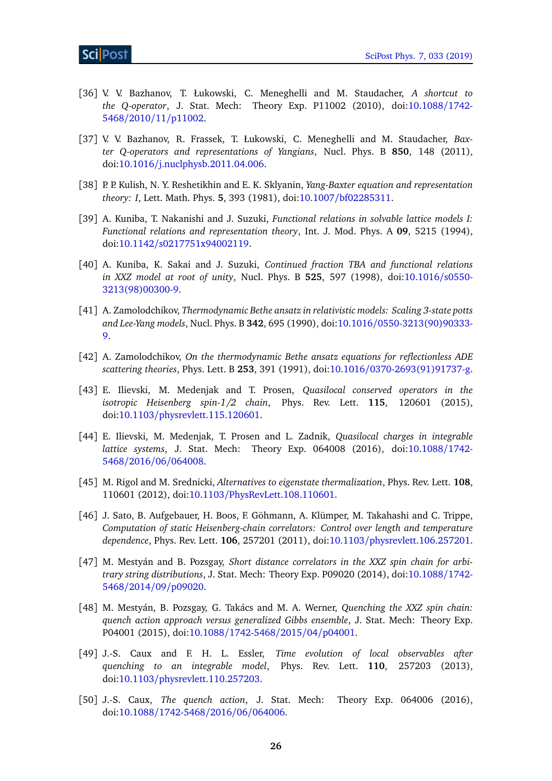- [36] V. V. Bazhanov, T. Łukowski, C. Meneghelli and M. Staudacher, *A shortcut to the Q-operator*, J. Stat. Mech: Theory Exp. P11002 (2010), doi[:10.1088](http://dx.doi.org/10.1088/1742-5468/2010/11/p11002)/1742- 5468/2010/11/[p11002.](http://dx.doi.org/10.1088/1742-5468/2010/11/p11002)
- <span id="page-25-0"></span>[37] V. V. Bazhanov, R. Frassek, T. Łukowski, C. Meneghelli and M. Staudacher, *Baxter Q-operators and representations of Yangians*, Nucl. Phys. B **850**, 148 (2011), doi:10.1016/[j.nuclphysb.2011.04.006.](http://dx.doi.org/10.1016/j.nuclphysb.2011.04.006)
- <span id="page-25-4"></span>[38] P. P. Kulish, N. Y. Reshetikhin and E. K. Sklyanin, *Yang-Baxter equation and representation theory: I*, Lett. Math. Phys. **5**, 393 (1981), doi:10.1007/[bf02285311.](http://dx.doi.org/10.1007/bf02285311)
- <span id="page-25-12"></span>[39] A. Kuniba, T. Nakanishi and J. Suzuki, *Functional relations in solvable lattice models I: Functional relations and representation theory*, Int. J. Mod. Phys. A **09**, 5215 (1994), doi:10.1142/[s0217751x94002119.](http://dx.doi.org/10.1142/s0217751x94002119)
- <span id="page-25-5"></span>[40] A. Kuniba, K. Sakai and J. Suzuki, *Continued fraction TBA and functional relations in XXZ model at root of unity*, Nucl. Phys. B **525**, 597 (1998), doi[:10.1016](http://dx.doi.org/10.1016/s0550-3213(98)00300-9)/s0550- [3213\(98\)00300-9.](http://dx.doi.org/10.1016/s0550-3213(98)00300-9)
- <span id="page-25-1"></span>[41] A. Zamolodchikov, *Thermodynamic Bethe ansatz in relativistic models: Scaling 3-state potts and Lee-Yang models*, Nucl. Phys. B **342**, 695 (1990), doi:10.1016/[0550-3213\(90\)90333-](http://dx.doi.org/10.1016/0550-3213(90)90333-9) [9.](http://dx.doi.org/10.1016/0550-3213(90)90333-9)
- <span id="page-25-2"></span>[42] A. Zamolodchikov, *On the thermodynamic Bethe ansatz equations for reflectionless ADE scattering theories*, Phys. Lett. B **253**, 391 (1991), doi:10.1016/[0370-2693\(91\)91737-g.](http://dx.doi.org/10.1016/0370-2693(91)91737-g)
- <span id="page-25-3"></span>[43] E. Ilievski, M. Medenjak and T. Prosen, *Quasilocal conserved operators in the isotropic Heisenberg spin-1/2 chain*, Phys. Rev. Lett. **115**, 120601 (2015), doi:10.1103/[physrevlett.115.120601.](http://dx.doi.org/10.1103/physrevlett.115.120601)
- <span id="page-25-6"></span>[44] E. Ilievski, M. Medenjak, T. Prosen and L. Zadnik, *Quasilocal charges in integrable lattice systems*, J. Stat. Mech: Theory Exp. 064008 (2016), doi[:10.1088](http://dx.doi.org/10.1088/1742-5468/2016/06/064008)/1742- 5468/2016/06/[064008.](http://dx.doi.org/10.1088/1742-5468/2016/06/064008)
- <span id="page-25-7"></span>[45] M. Rigol and M. Srednicki, *Alternatives to eigenstate thermalization*, Phys. Rev. Lett. **108**, 110601 (2012), doi:10.1103/[PhysRevLett.108.110601.](http://dx.doi.org/10.1103/PhysRevLett.108.110601)
- <span id="page-25-8"></span>[46] J. Sato, B. Aufgebauer, H. Boos, F. Göhmann, A. Klümper, M. Takahashi and C. Trippe, *Computation of static Heisenberg-chain correlators: Control over length and temperature dependence*, Phys. Rev. Lett. **106**, 257201 (2011), doi:10.1103/[physrevlett.106.257201.](http://dx.doi.org/10.1103/physrevlett.106.257201)
- <span id="page-25-13"></span>[47] M. Mestyán and B. Pozsgay, *Short distance correlators in the XXZ spin chain for arbitrary string distributions*, J. Stat. Mech: Theory Exp. P09020 (2014), doi[:10.1088](http://dx.doi.org/10.1088/1742-5468/2014/09/p09020)/1742- 5468/2014/09/[p09020.](http://dx.doi.org/10.1088/1742-5468/2014/09/p09020)
- <span id="page-25-9"></span>[48] M. Mestyán, B. Pozsgay, G. Takács and M. A. Werner, *Quenching the XXZ spin chain: quench action approach versus generalized Gibbs ensemble*, J. Stat. Mech: Theory Exp. P04001 (2015), doi:10.1088/[1742-5468](http://dx.doi.org/10.1088/1742-5468/2015/04/p04001)/2015/04/p04001.
- <span id="page-25-10"></span>[49] J.-S. Caux and F. H. L. Essler, *Time evolution of local observables after quenching to an integrable model*, Phys. Rev. Lett. **110**, 257203 (2013), doi:10.1103/[physrevlett.110.257203.](http://dx.doi.org/10.1103/physrevlett.110.257203)
- <span id="page-25-11"></span>[50] J.-S. Caux, *The quench action*, J. Stat. Mech: Theory Exp. 064006 (2016), doi:10.1088/[1742-5468](http://dx.doi.org/10.1088/1742-5468/2016/06/064006)/2016/06/064006.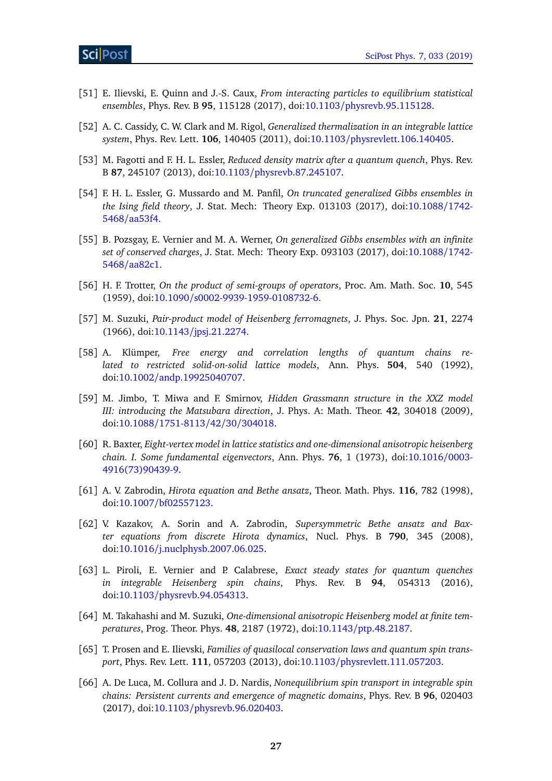- <span id="page-26-0"></span>[51] E. Ilievski, E. Quinn and J.-S. Caux, *From interacting particles to equilibrium statistical ensembles*, Phys. Rev. B **95**, 115128 (2017), doi:10.1103/[physrevb.95.115128.](http://dx.doi.org/10.1103/physrevb.95.115128)
- <span id="page-26-1"></span>[52] A. C. Cassidy, C. W. Clark and M. Rigol, *Generalized thermalization in an integrable lattice system*, Phys. Rev. Lett. **106**, 140405 (2011), doi:10.1103/[physrevlett.106.140405.](http://dx.doi.org/10.1103/physrevlett.106.140405)
- <span id="page-26-2"></span>[53] M. Fagotti and F. H. L. Essler, *Reduced density matrix after a quantum quench*, Phys. Rev. B **87**, 245107 (2013), doi:10.1103/[physrevb.87.245107.](http://dx.doi.org/10.1103/physrevb.87.245107)
- [54] F. H. L. Essler, G. Mussardo and M. Panfil, *On truncated generalized Gibbs ensembles in the Ising field theory*, J. Stat. Mech: Theory Exp. 013103 (2017), doi[:10.1088](http://dx.doi.org/10.1088/1742-5468/aa53f4)/1742- 5468/[aa53f4.](http://dx.doi.org/10.1088/1742-5468/aa53f4)
- <span id="page-26-3"></span>[55] B. Pozsgay, E. Vernier and M. A. Werner, *On generalized Gibbs ensembles with an infinite set of conserved charges*, J. Stat. Mech: Theory Exp. 093103 (2017), doi[:10.1088](http://dx.doi.org/10.1088/1742-5468/aa82c1)/1742- 5468/[aa82c1.](http://dx.doi.org/10.1088/1742-5468/aa82c1)
- <span id="page-26-4"></span>[56] H. F. Trotter, *On the product of semi-groups of operators*, Proc. Am. Math. Soc. **10**, 545 (1959), doi:10.1090/[s0002-9939-1959-0108732-6.](http://dx.doi.org/10.1090/s0002-9939-1959-0108732-6)
- <span id="page-26-5"></span>[57] M. Suzuki, *Pair-product model of Heisenberg ferromagnets*, J. Phys. Soc. Jpn. **21**, 2274 (1966), doi:10.1143/[jpsj.21.2274.](http://dx.doi.org/10.1143/jpsj.21.2274)
- <span id="page-26-6"></span>[58] A. Klümper, *Free energy and correlation lengths of quantum chains related to restricted solid-on-solid lattice models*, Ann. Phys. **504**, 540 (1992), doi:10.1002/[andp.19925040707.](http://dx.doi.org/10.1002/andp.19925040707)
- <span id="page-26-7"></span>[59] M. Jimbo, T. Miwa and F. Smirnov, *Hidden Grassmann structure in the XXZ model III: introducing the Matsubara direction*, J. Phys. A: Math. Theor. **42**, 304018 (2009), doi:10.1088/[1751-8113](http://dx.doi.org/10.1088/1751-8113/42/30/304018)/42/30/304018.
- <span id="page-26-8"></span>[60] R. Baxter, *Eight-vertex model in lattice statistics and one-dimensional anisotropic heisenberg chain. I. Some fundamental eigenvectors*, Ann. Phys. **76**, 1 (1973), doi[:10.1016](http://dx.doi.org/10.1016/0003-4916(73)90439-9)/0003- [4916\(73\)90439-9.](http://dx.doi.org/10.1016/0003-4916(73)90439-9)
- <span id="page-26-9"></span>[61] A. V. Zabrodin, *Hirota equation and Bethe ansatz*, Theor. Math. Phys. **116**, 782 (1998), doi:10.1007/[bf02557123.](http://dx.doi.org/10.1007/bf02557123)
- <span id="page-26-10"></span>[62] V. Kazakov, A. Sorin and A. Zabrodin, *Supersymmetric Bethe ansatz and Baxter equations from discrete Hirota dynamics*, Nucl. Phys. B **790**, 345 (2008), doi:10.1016/[j.nuclphysb.2007.06.025.](http://dx.doi.org/10.1016/j.nuclphysb.2007.06.025)
- <span id="page-26-11"></span>[63] L. Piroli, E. Vernier and P. Calabrese, *Exact steady states for quantum quenches in integrable Heisenberg spin chains*, Phys. Rev. B **94**, 054313 (2016), doi:10.1103/[physrevb.94.054313.](http://dx.doi.org/10.1103/physrevb.94.054313)
- <span id="page-26-12"></span>[64] M. Takahashi and M. Suzuki, *One-dimensional anisotropic Heisenberg model at finite temperatures*, Prog. Theor. Phys. **48**, 2187 (1972), doi:10.1143/[ptp.48.2187.](http://dx.doi.org/10.1143/ptp.48.2187)
- <span id="page-26-13"></span>[65] T. Prosen and E. Ilievski, *Families of quasilocal conservation laws and quantum spin transport*, Phys. Rev. Lett. **111**, 057203 (2013), doi:10.1103/[physrevlett.111.057203.](http://dx.doi.org/10.1103/physrevlett.111.057203)
- <span id="page-26-14"></span>[66] A. De Luca, M. Collura and J. D. Nardis, *Nonequilibrium spin transport in integrable spin chains: Persistent currents and emergence of magnetic domains*, Phys. Rev. B **96**, 020403 (2017), doi:10.1103/[physrevb.96.020403.](http://dx.doi.org/10.1103/physrevb.96.020403)